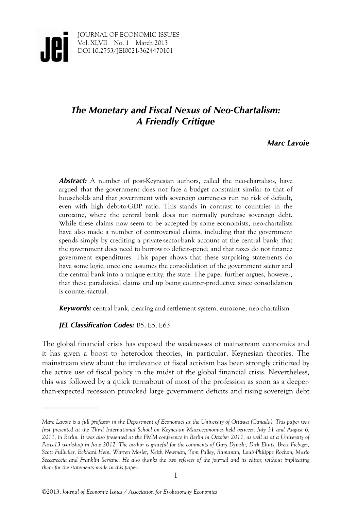

# *The Monetary and Fiscal Nexus of Neo-Chartalism: A Friendly Critique*

# *Marc Lavoie*

**Abstract:** A number of post-Keynesian authors, called the neo-chartalists, have argued that the government does not face a budget constraint similar to that of households and that government with sovereign currencies run no risk of default, even with high debt-to-GDP ratio. This stands in contrast to countries in the eurozone, where the central bank does not normally purchase sovereign debt. While these claims now seem to be accepted by some economists, neo-chartalists have also made a number of controversial claims, including that the government spends simply by crediting a private-sector-bank account at the central bank; that the government does need to borrow to deficit-spend; and that taxes do not finance government expenditures. This paper shows that these surprising statements do have some logic, once one assumes the consolidation of the government sector and the central bank into a unique entity, the state. The paper further argues, however, that these paradoxical claims end up being counter-productive since consolidation is counter-factual.

*Keywords:* central bank, clearing and settlement system, eurozone, neo-chartalism

*JEL Classification Codes:* B5, E5, E63

The global financial crisis has exposed the weaknesses of mainstream economics and it has given a boost to heterodox theories, in particular, Keynesian theories. The mainstream view about the irrelevance of fiscal activism has been strongly criticized by the active use of fiscal policy in the midst of the global financial crisis. Nevertheless, this was followed by a quick turnabout of most of the profession as soon as a deeperthan-expected recession provoked large government deficits and rising sovereign debt

*Marc Lavoie is a full professor in the Department of Economics at the University of Ottawa (Canada). This paper was first presented at the Third International School on Keynesian Macroeconomics held between July 31 and August 6, 2011, in Berlin. It was also presented at the FMM conference in Berlin in October 2011, as well as at a University of Paris-13 workshop in June 2012. The author is grateful for the comments of Gary Dymski, Dirk Ehnts, Brett Fiebiger, Scott Fullwiler, Eckhard Hein, Warren Mosler, Keith Newman, Tom Palley, Ramanan, Louis-Philippe Rochon, Mario Seccareccia and Franklin Serrano. He also thanks the two referees of the journal and its editor, without implicating them for the statements made in this paper.*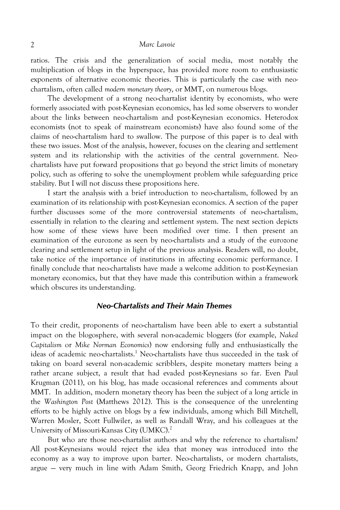ratios. The crisis and the generalization of social media, most notably the multiplication of blogs in the hyperspace, has provided more room to enthusiastic exponents of alternative economic theories. This is particularly the case with neochartalism, often called *modern monetary theory*, or MMT, on numerous blogs.

The development of a strong neo-chartalist identity by economists, who were formerly associated with post-Keynesian economics, has led some observers to wonder about the links between neo-chartalism and post-Keynesian economics. Heterodox economists (not to speak of mainstream economists) have also found some of the claims of neo-chartalism hard to swallow. The purpose of this paper is to deal with these two issues. Most of the analysis, however, focuses on the clearing and settlement system and its relationship with the activities of the central government. Neochartalists have put forward propositions that go beyond the strict limits of monetary policy, such as offering to solve the unemployment problem while safeguarding price stability. But I will not discuss these propositions here.

I start the analysis with a brief introduction to neo-chartalism, followed by an examination of its relationship with post-Keynesian economics. A section of the paper further discusses some of the more controversial statements of neo-chartalism, essentially in relation to the clearing and settlement system. The next section depicts how some of these views have been modified over time. I then present an examination of the eurozone as seen by neo-chartalists and a study of the eurozone clearing and settlement setup in light of the previous analysis. Readers will, no doubt, take notice of the importance of institutions in affecting economic performance. I finally conclude that neo-chartalists have made a welcome addition to post-Keynesian monetary economics, but that they have made this contribution within a framework which obscures its understanding.

### *Neo-Chartalists and Their Main Themes*

To their credit, proponents of neo-chartalism have been able to exert a substantial impact on the blogosphere, with several non-academic bloggers (for example, *Naked Capitalism* or *Mike Norman Economics*) now endorsing fully and enthusiastically the ideas of academic neo-chartalists.<sup>1</sup> Neo-chartalists have thus succeeded in the task of taking on board several non-academic scribblers, despite monetary matters being a rather arcane subject, a result that had evaded post-Keynesians so far. Even Paul Krugman (2011), on his blog, has made occasional references and comments about MMT. In addition, modern monetary theory has been the subject of a long article in the *Washington Post* (Matthews 2012). This is the consequence of the unrelenting efforts to be highly active on blogs by a few individuals, among which Bill Mitchell, Warren Mosler, Scott Fullwiler, as well as Randall Wray, and his colleagues at the University of Missouri-Kansas City (UMKC).<sup>2</sup>

But who are those neo-chartalist authors and why the reference to chartalism? All post-Keynesians would reject the idea that money was introduced into the economy as a way to improve upon barter. Neo-chartalists, or modern chartalists, argue — very much in line with Adam Smith, Georg Friedrich Knapp, and John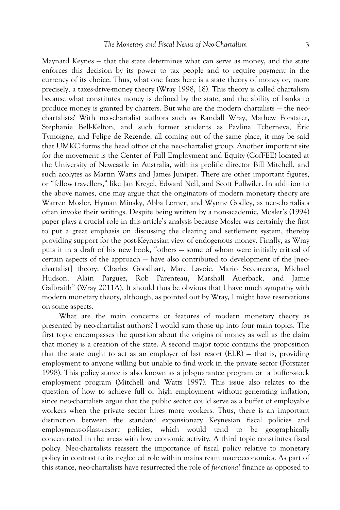Maynard Keynes — that the state determines what can serve as money, and the state enforces this decision by its power to tax people and to require payment in the currency of its choice. Thus, what one faces here is a state theory of money or, more precisely, a taxes-drive-money theory (Wray 1998, 18). This theory is called chartalism because what constitutes money is defined by the state, and the ability of banks to produce money is granted by charters. But who are the modern chartalists — the neochartalists? With neo-chartalist authors such as Randall Wray, Mathew Forstater, Stephanie Bell-Kelton, and such former students as Pavlina Tcherneva, Éric Tymoigne, and Felipe de Rezende, all coming out of the same place, it may be said that UMKC forms the head office of the neo-chartalist group. Another important site for the movement is the Center of Full Employment and Equity (CofFEE) located at the University of Newcastle in Australia, with its prolific director Bill Mitchell, and such acolytes as Martin Watts and James Juniper. There are other important figures, or "fellow travellers," like Jan Kregel, Edward Nell, and Scott Fullwiler. In addition to the above names, one may argue that the originators of modern monetary theory are Warren Mosler, Hyman Minsky, Abba Lerner, and Wynne Godley, as neo-chartalists often invoke their writings. Despite being written by a non-academic, Mosler's (1994) paper plays a crucial role in this article's analysis because Mosler was certainly the first to put a great emphasis on discussing the clearing and settlement system, thereby providing support for the post-Keynesian view of endogenous money. Finally, as Wray puts it in a draft of his new book, "others — some of whom were initially critical of certain aspects of the approach — have also contributed to development of the [neochartalist] theory: Charles Goodhart, Marc Lavoie, Mario Seccareccia, Michael Hudson, Alain Parguez, Rob Parenteau, Marshall Auerback, and Jamie Galbraith" (Wray 2011A). It should thus be obvious that I have much sympathy with modern monetary theory, although, as pointed out by Wray, I might have reservations on some aspects.

What are the main concerns or features of modern monetary theory as presented by neo-chartalist authors? I would sum those up into four main topics. The first topic encompasses the question about the origins of money as well as the claim that money is a creation of the state. A second major topic contains the proposition that the state ought to act as an employer of last resort  $(ELR)$  – that is, providing employment to anyone willing but unable to find work in the private sector (Forstater 1998). This policy stance is also known as a job-guarantee program or a buffer-stock employment program (Mitchell and Watts 1997). This issue also relates to the question of how to achieve full or high employment without generating inflation, since neo-chartalists argue that the public sector could serve as a buffer of employable workers when the private sector hires more workers. Thus, there is an important distinction between the standard expansionary Keynesian fiscal policies and employment-of-last-resort policies, which would tend to be geographically concentrated in the areas with low economic activity. A third topic constitutes fiscal policy. Neo-chartalists reassert the importance of fiscal policy relative to monetary policy in contrast to its neglected role within mainstream macroeconomics. As part of this stance, neo-chartalists have resurrected the role of *functional* finance as opposed to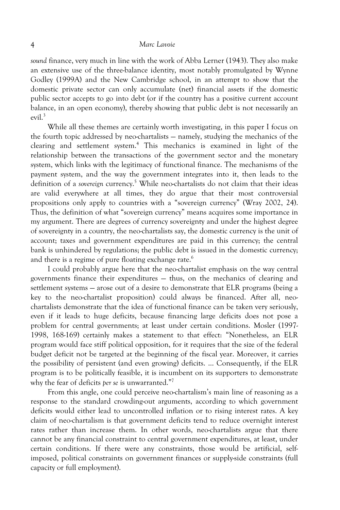*sound* finance, very much in line with the work of Abba Lerner (1943). They also make an extensive use of the three-balance identity, most notably promulgated by Wynne Godley (1999A) and the New Cambridge school, in an attempt to show that the domestic private sector can only accumulate (net) financial assets if the domestic public sector accepts to go into debt (or if the country has a positive current account balance, in an open economy), thereby showing that public debt is not necessarily an evil.<sup>3</sup>

While all these themes are certainly worth investigating, in this paper I focus on the fourth topic addressed by neo-chartalists — namely, studying the mechanics of the clearing and settlement system.<sup>4</sup> This mechanics is examined in light of the relationship between the transactions of the government sector and the monetary system, which links with the legitimacy of functional finance. The mechanisms of the payment system, and the way the government integrates into it, then leads to the definition of a *sovereign* currency.<sup>5</sup> While neo-chartalists do not claim that their ideas are valid everywhere at all times, they do argue that their most controversial propositions only apply to countries with a "sovereign currency" (Wray 2002, 24). Thus, the definition of what "sovereign currency" means acquires some importance in my argument. There are degrees of currency sovereignty and under the highest degree of sovereignty in a country, the neo-chartalists say, the domestic currency is the unit of account; taxes and government expenditures are paid in this currency; the central bank is unhindered by regulations; the public debt is issued in the domestic currency; and there is a regime of pure floating exchange rate.<sup>6</sup>

I could probably argue here that the neo-chartalist emphasis on the way central governments finance their expenditures — thus, on the mechanics of clearing and settlement systems — arose out of a desire to demonstrate that ELR programs (being a key to the neo-chartalist proposition) could always be financed. After all, neochartalists demonstrate that the idea of functional finance can be taken very seriously, even if it leads to huge deficits, because financing large deficits does not pose a problem for central governments; at least under certain conditions. Mosler (1997- 1998, 168-169) certainly makes a statement to that effect: "Nonetheless, an ELR program would face stiff political opposition, for it requires that the size of the federal budget deficit not be targeted at the beginning of the fiscal year. Moreover, it carries the possibility of persistent (and even growing) deficits. … Consequently, if the ELR program is to be politically feasible, it is incumbent on its supporters to demonstrate why the fear of deficits *per se* is unwarranted."<sup>7</sup>

From this angle, one could perceive neo-chartalism's main line of reasoning as a response to the standard crowding-out arguments, according to which government deficits would either lead to uncontrolled inflation or to rising interest rates. A key claim of neo-chartalism is that government deficits tend to reduce overnight interest rates rather than increase them. In other words, neo-chartalists argue that there cannot be any financial constraint to central government expenditures, at least, under certain conditions. If there were any constraints, those would be artificial, selfimposed, political constraints on government finances or supply-side constraints (full capacity or full employment).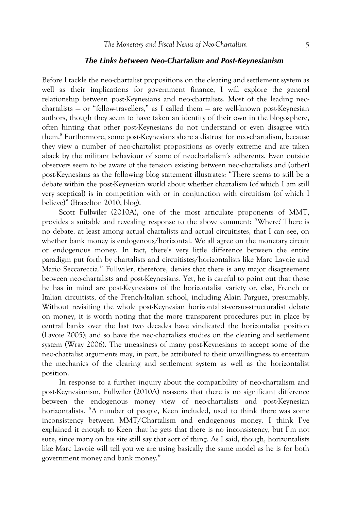#### *The Links between Neo-Chartalism and Post-Keynesianism*

Before I tackle the neo-chartalist propositions on the clearing and settlement system as well as their implications for government finance, I will explore the general relationship between post-Keynesians and neo-chartalists. Most of the leading neochartalists — or "fellow-travellers," as I called them — are well-known post-Keynesian authors, though they seem to have taken an identity of their own in the blogosphere, often hinting that other post-Keynesians do not understand or even disagree with them.<sup>8</sup> Furthermore, some post-Keynesians share a distrust for neo-chartalism, because they view a number of neo-chartalist propositions as overly extreme and are taken aback by the militant behaviour of some of neocharlalism's adherents. Even outside observers seem to be aware of the tension existing between neo-chartalists and (other) post-Keynesians as the following blog statement illustrates: "There seems to still be a debate within the post-Keynesian world about whether chartalism (of which I am still very sceptical) is in competition with or in conjunction with circuitism (of which I believe)" (Brazelton 2010, blog).

Scott Fullwiler (2010A), one of the most articulate proponents of MMT, provides a suitable and revealing response to the above comment: "Where? There is no debate, at least among actual chartalists and actual circuitistes, that I can see, on whether bank money is endogenous/horizontal. We all agree on the monetary circuit or endogenous money. In fact, there's very little difference between the entire paradigm put forth by chartalists and circuitistes/horizontalists like Marc Lavoie and Mario Seccareccia." Fullwiler, therefore, denies that there is any major disagreement between neo-chartalists and post-Keynesians. Yet, he is careful to point out that those he has in mind are post-Keynesians of the horizontalist variety or, else, French or Italian circuitists, of the French-Italian school, including Alain Parguez, presumably. Without revisiting the whole post-Keynesian horizontalist-versus-structuralist debate on money, it is worth noting that the more transparent procedures put in place by central banks over the last two decades have vindicated the horizontalist position (Lavoie 2005); and so have the neo-chartalists studies on the clearing and settlement system (Wray 2006). The uneasiness of many post-Keynesians to accept some of the neo-chartalist arguments may, in part, be attributed to their unwillingness to entertain the mechanics of the clearing and settlement system as well as the horizontalist position.

In response to a further inquiry about the compatibility of neo-chartalism and post-Keynesianism, Fullwiler (2010A) reasserts that there is no significant difference between the endogenous money view of neo-chartalists and post-Keynesian horizontalists. "A number of people, Keen included, used to think there was some inconsistency between MMT/Chartalism and endogenous money. I think I've explained it enough to Keen that he gets that there is no inconsistency, but I'm not sure, since many on his site still say that sort of thing. As I said, though, horizontalists like Marc Lavoie will tell you we are using basically the same model as he is for both government money and bank money."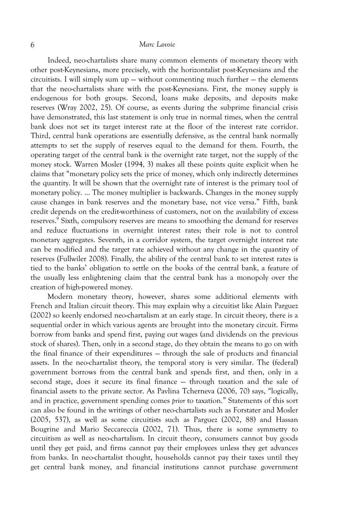Indeed, neo-chartalists share many common elements of monetary theory with other post-Keynesians, more precisely, with the horizontalist post-Keynesians and the circuitists. I will simply sum up — without commenting much further — the elements that the neo-chartalists share with the post-Keynesians. First, the money supply is endogenous for both groups. Second, loans make deposits, and deposits make reserves (Wray 2002, 25). Of course, as events during the subprime financial crisis have demonstrated, this last statement is only true in normal times, when the central bank does not set its target interest rate at the floor of the interest rate corridor. Third, central bank operations are essentially defensive, as the central bank normally attempts to set the supply of reserves equal to the demand for them. Fourth, the operating target of the central bank is the overnight rate target, not the supply of the money stock. Warren Mosler (1994, 3) makes all these points quite explicit when he claims that "monetary policy sets the price of money, which only indirectly determines the quantity. It will be shown that the overnight rate of interest is the primary tool of monetary policy. … The money multiplier is backwards. Changes in the money supply cause changes in bank reserves and the monetary base, not vice versa." Fifth, bank credit depends on the credit-worthiness of customers, not on the availability of excess reserves.<sup>9</sup> Sixth, compulsory reserves are means to smoothing the demand for reserves and reduce fluctuations in overnight interest rates; their role is not to control monetary aggregates. Seventh, in a corridor system, the target overnight interest rate can be modified and the target rate achieved without any change in the quantity of reserves (Fullwiler 2008). Finally, the ability of the central bank to set interest rates is tied to the banks' obligation to settle on the books of the central bank, a feature of the usually less enlightening claim that the central bank has a monopoly over the creation of high-powered money.

Modern monetary theory, however, shares some additional elements with French and Italian circuit theory. This may explain why a circuitist like Alain Parguez (2002) so keenly endorsed neo-chartalism at an early stage. In circuit theory, there is a sequential order in which various agents are brought into the monetary circuit. Firms borrow from banks and spend first, paying out wages (and dividends on the previous stock of shares). Then, only in a second stage, do they obtain the means to go on with the final finance of their expenditures — through the sale of products and financial assets. In the neo-chartalist theory, the temporal story is very similar. The (federal) government borrows from the central bank and spends first, and then, only in a second stage, does it secure its final finance — through taxation and the sale of financial assets to the private sector. As Pavlina Tcherneva (2006, 70) says, "logically, and in practice, government spending comes *prior* to taxation." Statements of this sort can also be found in the writings of other neo-chartalists such as Forstater and Mosler (2005, 537), as well as some circuitists such as Parguez (2002, 88) and Hassan Bougrine and Mario Seccareccia (2002, 71). Thus, there is some symmetry to circuitism as well as neo-chartalism. In circuit theory, consumers cannot buy goods until they get paid, and firms cannot pay their employees unless they get advances from banks. In neo-chartalist thought, households cannot pay their taxes until they get central bank money, and financial institutions cannot purchase government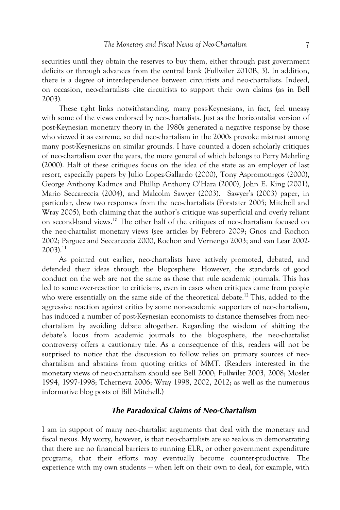securities until they obtain the reserves to buy them, either through past government deficits or through advances from the central bank (Fullwiler 2010B, 3). In addition, there is a degree of interdependence between circuitists and neo-chartalists. Indeed, on occasion, neo-chartalists cite circuitists to support their own claims (as in Bell 2003).

These tight links notwithstanding, many post-Keynesians, in fact, feel uneasy with some of the views endorsed by neo-chartalists. Just as the horizontalist version of post-Keynesian monetary theory in the 1980s generated a negative response by those who viewed it as extreme, so did neo-chartalism in the 2000s provoke mistrust among many post-Keynesians on similar grounds. I have counted a dozen scholarly critiques of neo-chartalism over the years, the more general of which belongs to Perry Mehrling (2000). Half of these critiques focus on the idea of the state as an employer of last resort, especially papers by Julio Lopez-Gallardo (2000), Tony Aspromourgos (2000), George Anthony Kadmos and Phillip Anthony O'Hara (2000), John E. King (2001), Mario Seccareccia (2004), and Malcolm Sawyer (2003). Sawyer's (2003) paper, in particular, drew two responses from the neo-chartalists (Forstater 2005; Mitchell and Wray 2005), both claiming that the author's critique was superficial and overly reliant on second-hand views.<sup>10</sup> The other half of the critiques of neo-chartalism focused on the neo-chartalist monetary views (see articles by Febrero 2009; Gnos and Rochon 2002; Parguez and Seccareccia 2000, Rochon and Vernengo 2003; and van Lear 2002-  $2003$ ).<sup>11</sup>

As pointed out earlier, neo-chartalists have actively promoted, debated, and defended their ideas through the blogosphere. However, the standards of good conduct on the web are not the same as those that rule academic journals. This has led to some over-reaction to criticisms, even in cases when critiques came from people who were essentially on the same side of the theoretical debate.<sup>12</sup> This, added to the aggressive reaction against critics by some non-academic supporters of neo-chartalism, has induced a number of post-Keynesian economists to distance themselves from neochartalism by avoiding debate altogether. Regarding the wisdom of shifting the debate's locus from academic journals to the blogosphere, the neo-chartalist controversy offers a cautionary tale. As a consequence of this, readers will not be surprised to notice that the discussion to follow relies on primary sources of neochartalism and abstains from quoting critics of MMT. (Readers interested in the monetary views of neo-chartalism should see Bell 2000; Fullwiler 2003, 2008; Mosler 1994, 1997-1998; Tcherneva 2006; Wray 1998, 2002, 2012; as well as the numerous informative blog posts of Bill Mitchell.)

# *The Paradoxical Claims of Neo-Chartalism*

I am in support of many neo-chartalist arguments that deal with the monetary and fiscal nexus. My worry, however, is that neo-chartalists are so zealous in demonstrating that there are no financial barriers to running ELR, or other government expenditure programs, that their efforts may eventually become counter-productive. The experience with my own students — when left on their own to deal, for example, with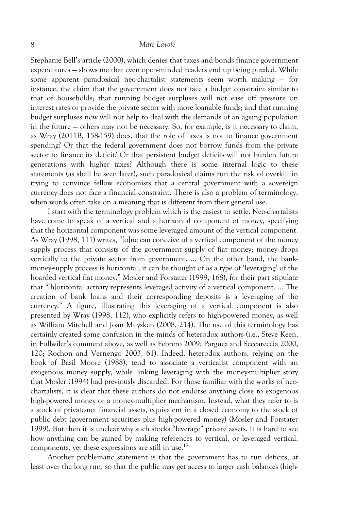Stephanie Bell's article (2000), which denies that taxes and bonds finance government expenditures — shows me that even open-minded readers end up being puzzled. While some apparent paradoxical neo-chartalist statements seem worth making — for instance, the claim that the government does not face a budget constraint similar to that of households; that running budget surpluses will not ease off pressure on interest rates or provide the private sector with more loanable funds; and that running budget surpluses now will not help to deal with the demands of an ageing population in the future — others may not be necessary. So, for example, is it necessary to claim, as Wray (2011B, 158-159) does, that the role of taxes is not to finance government spending? Or that the federal government does not borrow funds from the private sector to finance its deficit? Or that persistent budget deficits will not burden future generations with higher taxes? Although there is some internal logic to these statements (as shall be seen later), such paradoxical claims run the risk of overkill in trying to convince fellow economists that a central government with a sovereign currency does not face a financial constraint. There is also a problem of terminology, when words often take on a meaning that is different from their general use.

I start with the terminology problem which is the easiest to settle. Neo-chartalists have come to speak of a vertical and a horizontal component of money, specifying that the horizontal component was some leveraged amount of the vertical component. As Wray (1998, 111) writes, "[o]ne can conceive of a vertical component of the money supply process that consists of the government supply of fiat money; money drops vertically to the private sector from government. … On the other hand, the bankmoney-supply process is horizontal; it can be thought of as a type of 'leveraging' of the hoarded vertical fiat money." Mosler and Forstater (1999, 168), for their part stipulate that "[h]orizontal activity represents leveraged activity of a vertical component. … The creation of bank loans and their corresponding deposits is a leveraging of the currency." A figure, illustrating this leveraging of a vertical component is also presented by Wray (1998, 112), who explicitly refers to high-powered money, as well as William Mitchell and Joan Muysken (2008, 214). The use of this terminology has certainly created some confusion in the minds of heterodox authors (i.e., Steve Keen, in Fullwiler's comment above, as well as Febrero 2009; Parguez and Seccareccia 2000, 120; Rochon and Vernengo 2003, 61). Indeed, heterodox authors, relying on the book of Basil Moore (1988), tend to associate a verticalist component with an exogenous money supply, while linking leveraging with the money-multiplier story that Mosler (1994) had previously discarded. For those familiar with the works of neochartalists, it is clear that these authors do not endorse anything close to exogenous high-powered money or a money-multiplier mechanism. Instead, what they refer to is a stock of private-net financial assets, equivalent in a closed economy to the stock of public debt (government securities plus high-powered money) (Mosler and Forstater 1999). But then it is unclear why such stocks "leverage" private assets. It is hard to see how anything can be gained by making references to vertical, or leveraged vertical, components, yet these expressions are still in use.<sup>13</sup>

Another problematic statement is that the government has to run deficits, at least over the long run, so that the public may get access to larger cash balances (high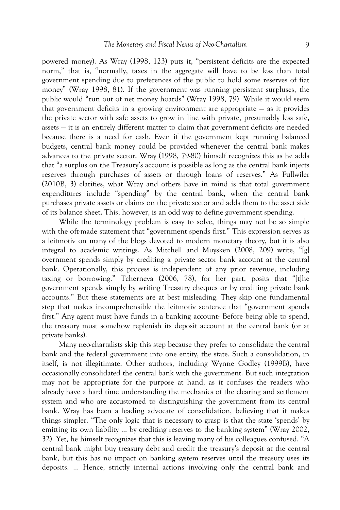powered money). As Wray (1998, 123) puts it, "persistent deficits are the expected norm," that is, "normally, taxes in the aggregate will have to be less than total government spending due to preferences of the public to hold some reserves of fiat money" (Wray 1998, 81). If the government was running persistent surpluses, the public would "run out of net money hoards" (Wray 1998, 79). While it would seem that government deficits in a growing environment are appropriate — as it provides the private sector with safe assets to grow in line with private, presumably less safe, assets — it is an entirely different matter to claim that government deficits are needed because there is a need for cash. Even if the government kept running balanced budgets, central bank money could be provided whenever the central bank makes advances to the private sector. Wray (1998, 79-80) himself recognizes this as he adds that "a surplus on the Treasury's account is possible as long as the central bank injects reserves through purchases of assets or through loans of reserves." As Fullwiler (2010B, 3) clarifies, what Wray and others have in mind is that total government expenditures include "spending" by the central bank, when the central bank purchases private assets or claims on the private sector and adds them to the asset side of its balance sheet. This, however, is an odd way to define government spending.

While the terminology problem is easy to solve, things may not be so simple with the oft-made statement that "government spends first." This expression serves as a leitmotiv on many of the blogs devoted to modern monetary theory, but it is also integral to academic writings. As Mitchell and Muysken (2008, 209) write, "[g] overnment spends simply by crediting a private sector bank account at the central bank. Operationally, this process is independent of any prior revenue, including taxing or borrowing." Tcherneva (2006, 78), for her part, posits that "[t]he government spends simply by writing Treasury cheques or by crediting private bank accounts." But these statements are at best misleading. They skip one fundamental step that makes incomprehensible the leitmotiv sentence that "government spends first." Any agent must have funds in a banking account: Before being able to spend, the treasury must somehow replenish its deposit account at the central bank (or at private banks).

Many neo-chartalists skip this step because they prefer to consolidate the central bank and the federal government into one entity, the state. Such a consolidation, in itself, is not illegitimate. Other authors, including Wynne Godley (1999B), have occasionally consolidated the central bank with the government. But such integration may not be appropriate for the purpose at hand, as it confuses the readers who already have a hard time understanding the mechanics of the clearing and settlement system and who are accustomed to distinguishing the government from its central bank. Wray has been a leading advocate of consolidation, believing that it makes things simpler. "The only logic that is necessary to grasp is that the state 'spends' by emitting its own liability … by crediting reserves to the banking system" (Wray 2002, 32). Yet, he himself recognizes that this is leaving many of his colleagues confused. "A central bank might buy treasury debt and credit the treasury's deposit at the central bank, but this has no impact on banking system reserves until the treasury uses its deposits. … Hence, strictly internal actions involving only the central bank and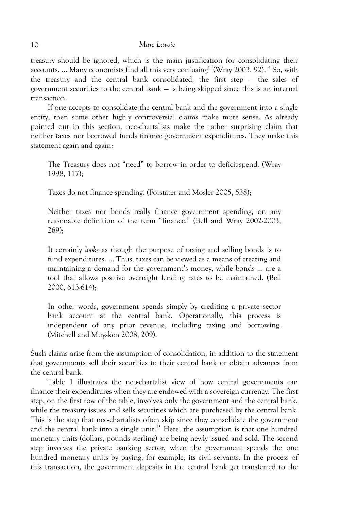treasury should be ignored, which is the main justification for consolidating their accounts. ... Many economists find all this very confusing" (Wray 2003, 92).<sup>14</sup> So, with the treasury and the central bank consolidated, the first step — the sales of government securities to the central bank — is being skipped since this is an internal transaction.

If one accepts to consolidate the central bank and the government into a single entity, then some other highly controversial claims make more sense. As already pointed out in this section, neo-chartalists make the rather surprising claim that neither taxes nor borrowed funds finance government expenditures. They make this statement again and again:

The Treasury does not "need" to borrow in order to deficit-spend. (Wray 1998, 117);

Taxes do not finance spending. (Forstater and Mosler 2005, 538);

Neither taxes nor bonds really finance government spending, on any reasonable definition of the term "finance." (Bell and Wray 2002-2003, 269);

It certainly *looks* as though the purpose of taxing and selling bonds is to fund expenditures. … Thus, taxes can be viewed as a means of creating and maintaining a demand for the government's money, while bonds … are a tool that allows positive overnight lending rates to be maintained. (Bell 2000, 613-614);

In other words, government spends simply by crediting a private sector bank account at the central bank. Operationally, this process is independent of any prior revenue, including taxing and borrowing. (Mitchell and Muysken 2008, 209).

Such claims arise from the assumption of consolidation, in addition to the statement that governments sell their securities to their central bank or obtain advances from the central bank.

Table 1 illustrates the neo-chartalist view of how central governments can finance their expenditures when they are endowed with a sovereign currency. The first step, on the first row of the table, involves only the government and the central bank, while the treasury issues and sells securities which are purchased by the central bank. This is the step that neo-chartalists often skip since they consolidate the government and the central bank into a single unit.<sup>15</sup> Here, the assumption is that one hundred monetary units (dollars, pounds sterling) are being newly issued and sold. The second step involves the private banking sector, when the government spends the one hundred monetary units by paying, for example, its civil servants. In the process of this transaction, the government deposits in the central bank get transferred to the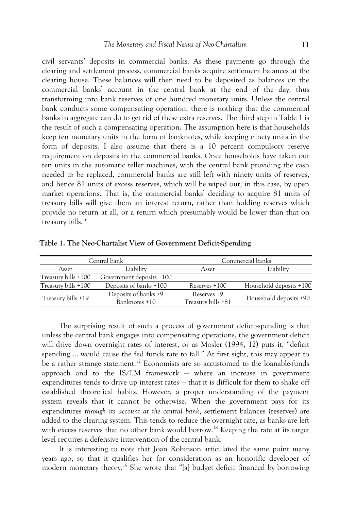civil servants' deposits in commercial banks. As these payments go through the clearing and settlement process, commercial banks acquire settlement balances at the clearing house. These balances will then need to be deposited as balances on the commercial banks' account in the central bank at the end of the day, thus transforming into bank reserves of one hundred monetary units. Unless the central bank conducts some compensating operation, there is nothing that the commercial banks in aggregate can do to get rid of these extra reserves. The third step in Table 1 is the result of such a compensating operation. The assumption here is that households keep ten monetary units in the form of banknotes, while keeping ninety units in the form of deposits. I also assume that there is a 10 percent compulsory reserve requirement on deposits in the commercial banks. Once households have taken out ten units in the automatic teller machines, with the central bank providing the cash needed to be replaced, commercial banks are still left with ninety units of reserves, and hence 81 units of excess reserves, which will be wiped out, in this case, by open market operations. That is, the commercial banks' deciding to acquire 81 units of treasury bills will give them an interest return, rather than holding reserves which provide no return at all, or a return which presumably would be lower than that on treasury bills.<sup>16</sup>

|                     | Central bank                          |                                   | Commercial banks        |
|---------------------|---------------------------------------|-----------------------------------|-------------------------|
| Asset               | Liability                             | Asset                             | Liability               |
| Treasury bills +100 | Government deposits +100              |                                   |                         |
| Treasury bills +100 | Deposits of banks +100                | Reserves +100                     | Household deposits +100 |
| Treasury bills +19  | Deposits of banks +9<br>Banknotes +10 | Reserves +9<br>Treasury bills +81 | Household deposits +90  |

**Table 1. The Neo-Chartalist View of Government Deficit-Spending** 

The surprising result of such a process of government deficit-spending is that unless the central bank engages into compensating operations, the government deficit will drive down overnight rates of interest, or as Mosler (1994, 12) puts it, "deficit spending … would cause the fed funds rate to fall." At first sight, this may appear to be a rather strange statement.<sup>17</sup> Economists are so accustomed to the loanable-funds approach and to the IS/LM framework — where an increase in government expenditures tends to drive up interest rates — that it is difficult for them to shake off established theoretical habits. However, a proper understanding of the payment system reveals that it cannot be otherwise. When the government pays for its expenditures *through its account at the central bank*, settlement balances (reserves) are added to the clearing system. This tends to reduce the overnight rate, as banks are left with excess reserves that no other bank would borrow.<sup>18</sup> Keeping the rate at its target level requires a defensive intervention of the central bank.

It is interesting to note that Joan Robinson articulated the same point many years ago, so that it qualifies her for consideration as an honorific developer of modern monetary theory.<sup>19</sup> She wrote that "[a] budget deficit financed by borrowing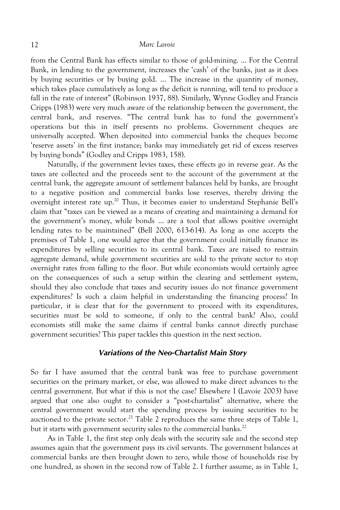from the Central Bank has effects similar to those of gold-mining. … For the Central Bank, in lending to the government, increases the 'cash' of the banks, just as it does by buying securities or by buying gold. … The increase in the quantity of money, which takes place cumulatively as long as the deficit is running, will tend to produce a fall in the rate of interest" (Robinson 1937, 88). Similarly, Wynne Godley and Francis Cripps (1983) were very much aware of the relationship between the government, the central bank, and reserves. "The central bank has to fund the government's operations but this in itself presents no problems. Government cheques are universally accepted. When deposited into commercial banks the cheques become 'reserve assets' in the first instance; banks may immediately get rid of excess reserves by buying bonds" (Godley and Cripps 1983, 158).

Naturally, if the government levies taxes, these effects go in reverse gear. As the taxes are collected and the proceeds sent to the account of the government at the central bank, the aggregate amount of settlement balances held by banks, are brought to a negative position and commercial banks lose reserves, thereby driving the overnight interest rate up.<sup>20</sup> Thus, it becomes easier to understand Stephanie Bell's claim that "taxes can be viewed as a means of creating and maintaining a demand for the government's money, while bonds … are a tool that allows positive overnight lending rates to be maintained" (Bell 2000, 613-614). As long as one accepts the premises of Table 1, one would agree that the government could initially finance its expenditures by selling securities to its central bank. Taxes are raised to restrain aggregate demand, while government securities are sold to the private sector to stop overnight rates from falling to the floor. But while economists would certainly agree on the consequences of such a setup within the clearing and settlement system, should they also conclude that taxes and security issues do not finance government expenditures? Is such a claim helpful in understanding the financing process? In particular, it is clear that for the government to proceed with its expenditures, securities must be sold to someone, if only to the central bank? Also, could economists still make the same claims if central banks cannot directly purchase government securities? This paper tackles this question in the next section.

#### *Variations of the Neo-Chartalist Main Story*

So far I have assumed that the central bank was free to purchase government securities on the primary market, or else, was allowed to make direct advances to the central government. But what if this is not the case? Elsewhere I (Lavoie 2003) have argued that one also ought to consider a "post-chartalist" alternative, where the central government would start the spending process by issuing securities to be auctioned to the private sector.<sup>21</sup> Table 2 reproduces the same three steps of Table 1, but it starts with government security sales to the commercial banks.<sup>22</sup>

As in Table 1, the first step only deals with the security sale and the second step assumes again that the government pays its civil servants. The government balances at commercial banks are then brought down to zero, while those of households rise by one hundred, as shown in the second row of Table 2. I further assume, as in Table 1,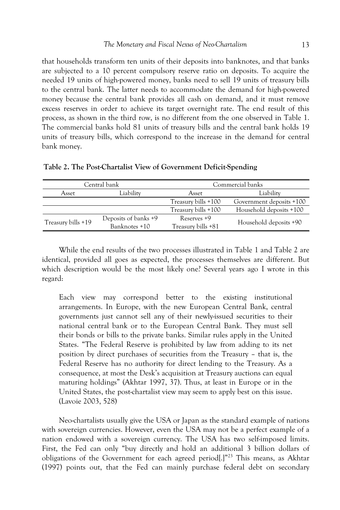that households transform ten units of their deposits into banknotes, and that banks are subjected to a 10 percent compulsory reserve ratio on deposits. To acquire the needed 19 units of high-powered money, banks need to sell 19 units of treasury bills to the central bank. The latter needs to accommodate the demand for high-powered money because the central bank provides all cash on demand, and it must remove excess reserves in order to achieve its target overnight rate. The end result of this process, as shown in the third row, is no different from the one observed in Table 1. The commercial banks hold 81 units of treasury bills and the central bank holds 19 units of treasury bills, which correspond to the increase in the demand for central bank money.

|                    | Central bank                          |                                   | Commercial banks         |
|--------------------|---------------------------------------|-----------------------------------|--------------------------|
| Asset              | Liabilitv                             | Asset                             | Liability                |
|                    |                                       | Treasury bills +100               | Government deposits +100 |
|                    |                                       | Treasury bills +100               | Household deposits +100  |
| Treasury bills +19 | Deposits of banks +9<br>Banknotes +10 | Reserves +9<br>Treasury bills +81 | Household deposits +90   |

**Table 2. The Post-Chartalist View of Government Deficit-Spending** 

While the end results of the two processes illustrated in Table 1 and Table 2 are identical, provided all goes as expected, the processes themselves are different. But which description would be the most likely one? Several years ago I wrote in this regard:

Each view may correspond better to the existing institutional arrangements. In Europe, with the new European Central Bank, central governments just cannot sell any of their newly-issued securities to their national central bank or to the European Central Bank. They must sell their bonds or bills to the private banks. Similar rules apply in the United States. "The Federal Reserve is prohibited by law from adding to its net position by direct purchases of securities from the Treasury – that is, the Federal Reserve has no authority for direct lending to the Treasury. As a consequence, at most the Desk's acquisition at Treasury auctions can equal maturing holdings" (Akhtar 1997, 37). Thus, at least in Europe or in the United States, the post-chartalist view may seem to apply best on this issue. (Lavoie 2003, 528)

Neo-chartalists usually give the USA or Japan as the standard example of nations with sovereign currencies. However, even the USA may not be a perfect example of a nation endowed with a sovereign currency. The USA has two self-imposed limits. First, the Fed can only "buy directly and hold an additional 3 billion dollars of obligations of the Government for each agreed period[.]"<sup>23</sup> This means, as Akhtar (1997) points out, that the Fed can mainly purchase federal debt on secondary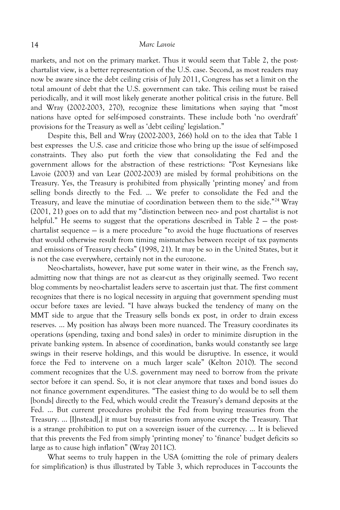markets, and not on the primary market. Thus it would seem that Table 2, the postchartalist view, is a better representation of the U.S. case. Second, as most readers may now be aware since the debt ceiling crisis of July 2011, Congress has set a limit on the total amount of debt that the U.S. government can take. This ceiling must be raised periodically, and it will most likely generate another political crisis in the future. Bell and Wray (2002-2003, 270), recognize these limitations when saying that "most nations have opted for self-imposed constraints. These include both 'no overdraft' provisions for the Treasury as well as 'debt ceiling' legislation."

Despite this, Bell and Wray (2002-2003, 266) hold on to the idea that Table 1 best expresses the U.S. case and criticize those who bring up the issue of self-imposed constraints. They also put forth the view that consolidating the Fed and the government allows for the abstraction of these restrictions: "Post Keynesians like Lavoie (2003) and van Lear (2002-2003) are misled by formal prohibitions on the Treasury. Yes, the Treasury is prohibited from physically 'printing money' and from selling bonds directly to the Fed. … We prefer to consolidate the Fed and the Treasury, and leave the minutiae of coordination between them to the side."<sup>24</sup> Wrav (2001, 21) goes on to add that my "distinction between neo- and post chartalist is not helpful." He seems to suggest that the operations described in Table  $2 -$  the postchartalist sequence — is a mere procedure "to avoid the huge fluctuations of reserves that would otherwise result from timing mismatches between receipt of tax payments and emissions of Treasury checks" (1998, 21). It may be so in the United States, but it is not the case everywhere, certainly not in the eurozone.

Neo-chartalists, however, have put some water in their wine, as the French say, admitting now that things are not as clear-cut as they originally seemed. Two recent blog comments by neo-chartalist leaders serve to ascertain just that. The first comment recognizes that there is no logical necessity in arguing that government spending must occur before taxes are levied. "I have always bucked the tendency of many on the MMT side to argue that the Treasury sells bonds ex post, in order to drain excess reserves. … My position has always been more nuanced. The Treasury coordinates its operations (spending, taxing and bond sales) in order to minimize disruption in the private banking system. In absence of coordination, banks would constantly see large swings in their reserve holdings, and this would be disruptive. In essence, it would force the Fed to intervene on a much larger scale" (Kelton 2010). The second comment recognizes that the U.S. government may need to borrow from the private sector before it can spend. So, it is not clear anymore that taxes and bond issues do not finance government expenditures. "The easiest thing to do would be to sell them [bonds] directly to the Fed, which would credit the Treasury's demand deposits at the Fed. … But current procedures prohibit the Fed from buying treasuries from the Treasury. … [I]nstead[,] it must buy treasuries from anyone except the Treasury. That is a strange prohibition to put on a sovereign issuer of the currency. … It is believed that this prevents the Fed from simply 'printing money' to 'finance' budget deficits so large as to cause high inflation" (Wray 2011C).

What seems to truly happen in the USA (omitting the role of primary dealers for simplification) is thus illustrated by Table 3, which reproduces in T-accounts the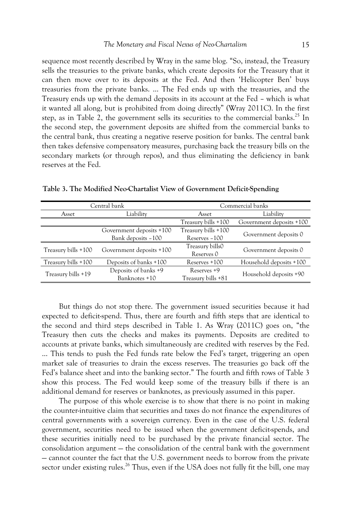sequence most recently described by Wray in the same blog. "So, instead, the Treasury sells the treasuries to the private banks, which create deposits for the Treasury that it can then move over to its deposits at the Fed. And then 'Helicopter Ben' buys treasuries from the private banks. … The Fed ends up with the treasuries, and the Treasury ends up with the demand deposits in its account at the Fed – which is what it wanted all along, but is prohibited from doing directly" (Wray 2011C). In the first step, as in Table 2, the government sells its securities to the commercial banks.<sup>25</sup> In the second step, the government deposits are shifted from the commercial banks to the central bank, thus creating a negative reserve position for banks. The central bank then takes defensive compensatory measures, purchasing back the treasury bills on the secondary markets (or through repos), and thus eliminating the deficiency in bank reserves at the Fed.

|                     | Central bank                          |                                   | Commercial banks         |
|---------------------|---------------------------------------|-----------------------------------|--------------------------|
| Asset               | Liability                             | Asset                             | Liability                |
|                     |                                       | Treasury bills +100               | Government deposits +100 |
|                     | Government deposits +100              | Treasury bills +100               | Government deposits 0    |
|                     | Bank deposits -100                    | Reserves -100                     |                          |
| Treasury bills +100 | Government deposits +100              | Treasury bills0<br>Reserves 0     | Government deposits 0    |
| Treasury bills +100 | Deposits of banks +100                | Reserves +100                     | Household deposits +100  |
| Treasury bills +19  | Deposits of banks +9<br>Banknotes +10 | Reserves +9<br>Treasury bills +81 | Household deposits +90   |

**Table 3. The Modified Neo-Chartalist View of Government Deficit-Spending** 

But things do not stop there. The government issued securities because it had expected to deficit-spend. Thus, there are fourth and fifth steps that are identical to the second and third steps described in Table 1. As Wray (2011C) goes on, "the Treasury then cuts the checks and makes its payments. Deposits are credited to accounts at private banks, which simultaneously are credited with reserves by the Fed. … This tends to push the Fed funds rate below the Fed's target, triggering an open market sale of treasuries to drain the excess reserves. The treasuries go back off the Fed's balance sheet and into the banking sector." The fourth and fifth rows of Table 3 show this process. The Fed would keep some of the treasury bills if there is an additional demand for reserves or banknotes, as previously assumed in this paper.

The purpose of this whole exercise is to show that there is no point in making the counter-intuitive claim that securities and taxes do not finance the expenditures of central governments with a sovereign currency. Even in the case of the U.S. federal government, securities need to be issued when the government deficit-spends, and these securities initially need to be purchased by the private financial sector. The consolidation argument — the consolidation of the central bank with the government — cannot counter the fact that the U.S. government needs to borrow from the private sector under existing rules.<sup>26</sup> Thus, even if the USA does not fully fit the bill, one may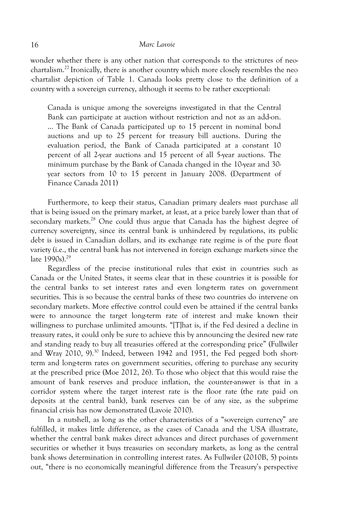wonder whether there is any other nation that corresponds to the strictures of neochartalism.<sup>27</sup> Ironically, there is another country which more closely resembles the neo -chartalist depiction of Table 1. Canada looks pretty close to the definition of a country with a sovereign currency, although it seems to be rather exceptional:

Canada is unique among the sovereigns investigated in that the Central Bank can participate at auction without restriction and not as an add-on. … The Bank of Canada participated up to 15 percent in nominal bond auctions and up to 25 percent for treasury bill auctions. During the evaluation period, the Bank of Canada participated at a constant 10 percent of all 2-year auctions and 15 percent of all 5-year auctions. The minimum purchase by the Bank of Canada changed in the 10-year and 30 year sectors from 10 to 15 percent in January 2008. (Department of Finance Canada 2011)

Furthermore, to keep their status, Canadian primary dealers *must* purchase *all*  that is being issued on the primary market, at least, at a price barely lower than that of secondary markets.<sup>28</sup> One could thus argue that Canada has the highest degree of currency sovereignty, since its central bank is unhindered by regulations, its public debt is issued in Canadian dollars, and its exchange rate regime is of the pure float variety (i.e., the central bank has not intervened in foreign exchange markets since the late 1990s).<sup>29</sup>

Regardless of the precise institutional rules that exist in countries such as Canada or the United States, it seems clear that in these countries it is possible for the central banks to set interest rates and even long-term rates on government securities. This is so because the central banks of these two countries do intervene on secondary markets. More effective control could even be attained if the central banks were to announce the target long-term rate of interest and make known their willingness to purchase unlimited amounts. "[T]hat is, if the Fed desired a decline in treasury rates, it could only be sure to achieve this by announcing the desired new rate and standing ready to buy all treasuries offered at the corresponding price" (Fullwiler and Wray 2010, 9).<sup>30</sup> Indeed, between 1942 and 1951, the Fed pegged both shortterm and long-term rates on government securities, offering to purchase any security at the prescribed price (Moe 2012, 26). To those who object that this would raise the amount of bank reserves and produce inflation, the counter-answer is that in a corridor system where the target interest rate is the floor rate (the rate paid on deposits at the central bank), bank reserves can be of any size, as the subprime financial crisis has now demonstrated (Lavoie 2010).

In a nutshell, as long as the other characteristics of a "sovereign currency" are fulfilled, it makes little difference, as the cases of Canada and the USA illustrate, whether the central bank makes direct advances and direct purchases of government securities or whether it buys treasuries on secondary markets, as long as the central bank shows determination in controlling interest rates. As Fullwiler (2010B, 5) points out, "there is no economically meaningful difference from the Treasury's perspective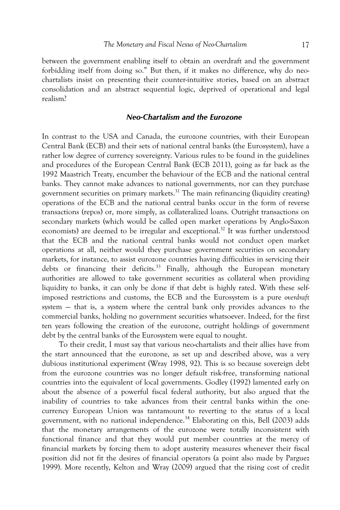between the government enabling itself to obtain an overdraft and the government forbidding itself from doing so." But then, if it makes no difference, why do neochartalists insist on presenting their counter-intuitive stories, based on an abstract consolidation and an abstract sequential logic, deprived of operational and legal realism?

# *Neo-Chartalism and the Eurozone*

In contrast to the USA and Canada, the eurozone countries, with their European Central Bank (ECB) and their sets of national central banks (the Eurosystem), have a rather low degree of currency sovereignty. Various rules to be found in the guidelines and procedures of the European Central Bank (ECB 2011), going as far back as the 1992 Maastrich Treaty, encumber the behaviour of the ECB and the national central banks. They cannot make advances to national governments, nor can they purchase government securities on primary markets.<sup>31</sup> The main refinancing (liquidity creating) operations of the ECB and the national central banks occur in the form of reverse transactions (repos) or, more simply, as collateralized loans. Outright transactions on secondary markets (which would be called open market operations by Anglo-Saxon economists) are deemed to be irregular and exceptional.<sup>32</sup> It was further understood that the ECB and the national central banks would not conduct open market operations at all, neither would they purchase government securities on secondary markets, for instance, to assist eurozone countries having difficulties in servicing their debts or financing their deficits.<sup>33</sup> Finally, although the European monetary authorities are allowed to take government securities as collateral when providing liquidity to banks, it can only be done if that debt is highly rated. With these selfimposed restrictions and customs, the ECB and the Eurosystem is a pure *overdraft* system — that is, a system where the central bank only provides advances to the commercial banks, holding no government securities whatsoever. Indeed, for the first ten years following the creation of the eurozone, outright holdings of government debt by the central banks of the Eurosystem were equal to nought.

To their credit, I must say that various neo-chartalists and their allies have from the start announced that the eurozone, as set up and described above, was a very dubious institutional experiment (Wray 1998, 92). This is so because sovereign debt from the eurozone countries was no longer default risk-free, transforming national countries into the equivalent of local governments. Godley (1992) lamented early on about the absence of a powerful fiscal federal authority, but also argued that the inability of countries to take advances from their central banks within the onecurrency European Union was tantamount to reverting to the status of a local government, with no national independence.<sup>34</sup> Elaborating on this, Bell (2003) adds that the monetary arrangements of the eurozone were totally inconsistent with functional finance and that they would put member countries at the mercy of financial markets by forcing them to adopt austerity measures whenever their fiscal position did not fit the desires of financial operators (a point also made by Parguez 1999). More recently, Kelton and Wray (2009) argued that the rising cost of credit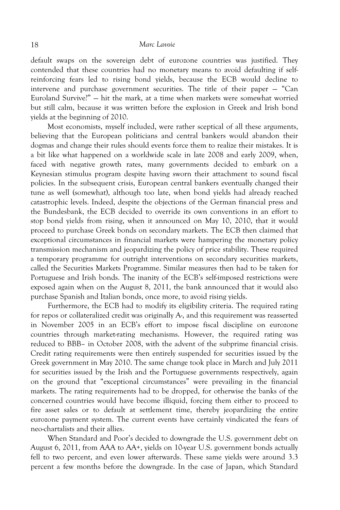default swaps on the sovereign debt of eurozone countries was justified. They contended that these countries had no monetary means to avoid defaulting if selfreinforcing fears led to rising bond yields, because the ECB would decline to intervene and purchase government securities. The title of their paper — "Can Euroland Survive?" — hit the mark, at a time when markets were somewhat worried but still calm, because it was written before the explosion in Greek and Irish bond yields at the beginning of 2010.

Most economists, myself included, were rather sceptical of all these arguments, believing that the European politicians and central bankers would abandon their dogmas and change their rules should events force them to realize their mistakes. It is a bit like what happened on a worldwide scale in late 2008 and early 2009, when, faced with negative growth rates, many governments decided to embark on a Keynesian stimulus program despite having sworn their attachment to sound fiscal policies. In the subsequent crisis, European central bankers eventually changed their tune as well (somewhat), although too late, when bond yields had already reached catastrophic levels. Indeed, despite the objections of the German financial press and the Bundesbank, the ECB decided to override its own conventions in an effort to stop bond yields from rising, when it announced on May 10, 2010, that it would proceed to purchase Greek bonds on secondary markets. The ECB then claimed that exceptional circumstances in financial markets were hampering the monetary policy transmission mechanism and jeopardizing the policy of price stability. These required a temporary programme for outright interventions on secondary securities markets, called the Securities Markets Programme. Similar measures then had to be taken for Portuguese and Irish bonds. The inanity of the ECB's self-imposed restrictions were exposed again when on the August 8, 2011, the bank announced that it would also purchase Spanish and Italian bonds, once more, to avoid rising yields.

Furthermore, the ECB had to modify its eligibility criteria. The required rating for repos or collateralized credit was originally A-, and this requirement was reasserted in November 2005 in an ECB's effort to impose fiscal discipline on eurozone countries through market-rating mechanisms. However, the required rating was reduced to BBB– in October 2008, with the advent of the subprime financial crisis. Credit rating requirements were then entirely suspended for securities issued by the Greek government in May 2010. The same change took place in March and July 2011 for securities issued by the Irish and the Portuguese governments respectively, again on the ground that "exceptional circumstances" were prevailing in the financial markets. The rating requirements had to be dropped, for otherwise the banks of the concerned countries would have become illiquid, forcing them either to proceed to fire asset sales or to default at settlement time, thereby jeopardizing the entire eurozone payment system. The current events have certainly vindicated the fears of neo-chartalists and their allies.

When Standard and Poor's decided to downgrade the U.S. government debt on August 6, 2011, from AAA to AA+, yields on 10-year U.S. government bonds actually fell to two percent, and even lower afterwards. These same yields were around 3.3 percent a few months before the downgrade. In the case of Japan, which Standard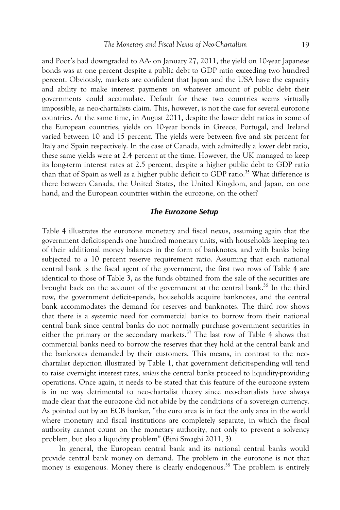and Poor's had downgraded to AA- on January 27, 2011, the yield on 10-year Japanese bonds was at one percent despite a public debt to GDP ratio exceeding two hundred percent. Obviously, markets are confident that Japan and the USA have the capacity and ability to make interest payments on whatever amount of public debt their governments could accumulate. Default for these two countries seems virtually impossible, as neo-chartalists claim. This, however, is not the case for several eurozone countries. At the same time, in August 2011, despite the lower debt ratios in some of the European countries, yields on 10-year bonds in Greece, Portugal, and Ireland varied between 10 and 15 percent. The yields were between five and six percent for Italy and Spain respectively. In the case of Canada, with admittedly a lower debt ratio, these same yields were at 2.4 percent at the time. However, the UK managed to keep its long-term interest rates at 2.5 percent, despite a higher public debt to GDP ratio than that of Spain as well as a higher public deficit to GDP ratio.<sup>35</sup> What difference is there between Canada, the United States, the United Kingdom, and Japan, on one hand, and the European countries within the eurozone, on the other?

#### *The Eurozone Setup*

Table 4 illustrates the eurozone monetary and fiscal nexus, assuming again that the government deficit-spends one hundred monetary units, with households keeping ten of their additional money balances in the form of banknotes, and with banks being subjected to a 10 percent reserve requirement ratio. Assuming that each national central bank is the fiscal agent of the government, the first two rows of Table 4 are identical to those of Table 3, as the funds obtained from the sale of the securities are brought back on the account of the government at the central bank.<sup>36</sup> In the third row, the government deficit-spends, households acquire banknotes, and the central bank accommodates the demand for reserves and banknotes. The third row shows that there is a systemic need for commercial banks to borrow from their national central bank since central banks do not normally purchase government securities in either the primary or the secondary markets.<sup>37</sup> The last row of Table 4 shows that commercial banks need to borrow the reserves that they hold at the central bank and the banknotes demanded by their customers. This means, in contrast to the neochartalist depiction illustrated by Table 1, that government deficit-spending will tend to raise overnight interest rates, *unless* the central banks proceed to liquidity-providing operations. Once again, it needs to be stated that this feature of the eurozone system is in no way detrimental to neo-chartalist theory since neo-chartalists have always made clear that the eurozone did not abide by the conditions of a sovereign currency. As pointed out by an ECB banker, "the euro area is in fact the only area in the world where monetary and fiscal institutions are completely separate, in which the fiscal authority cannot count on the monetary authority, not only to prevent a solvency problem, but also a liquidity problem" (Bini Smaghi 2011, 3).

In general, the European central bank and its national central banks would provide central bank money on demand. The problem in the eurozone is not that money is exogenous. Money there is clearly endogenous.<sup>38</sup> The problem is entirely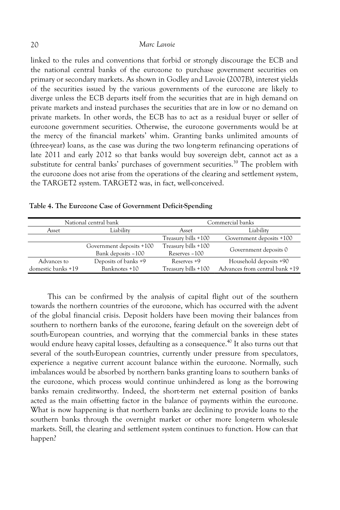linked to the rules and conventions that forbid or strongly discourage the ECB and the national central banks of the eurozone to purchase government securities on primary or secondary markets. As shown in Godley and Lavoie (2007B), interest yields of the securities issued by the various governments of the eurozone are likely to diverge unless the ECB departs itself from the securities that are in high demand on private markets and instead purchases the securities that are in low or no demand on private markets. In other words, the ECB has to act as a residual buyer or seller of eurozone government securities. Otherwise, the eurozone governments would be at the mercy of the financial markets' whim. Granting banks unlimited amounts of (three-year) loans, as the case was during the two long-term refinancing operations of late 2011 and early 2012 so that banks would buy sovereign debt, cannot act as a substitute for central banks' purchases of government securities.<sup>39</sup> The problem with the eurozone does not arise from the operations of the clearing and settlement system, the TARGET2 system. TARGET2 was, in fact, well-conceived.

|                    | National central bank    |                     | Commercial banks               |
|--------------------|--------------------------|---------------------|--------------------------------|
| Asset              | Liability                | Asset               | Liability                      |
|                    |                          | Treasury bills +100 | Government deposits +100       |
|                    | Government deposits +100 | Treasury bills +100 | Government deposits 0          |
|                    | Bank deposits -100       | Reserves -100       |                                |
| Advances to        | Deposits of banks +9     | Reserves +9         | Household deposits +90         |
| domestic banks +19 | Banknotes +10            | Treasury bills +100 | Advances from central bank +19 |

| Table 4. The Eurozone Case of Government Deficit-Spending |  |
|-----------------------------------------------------------|--|
|-----------------------------------------------------------|--|

This can be confirmed by the analysis of capital flight out of the southern towards the northern countries of the eurozone, which has occurred with the advent of the global financial crisis. Deposit holders have been moving their balances from southern to northern banks of the eurozone, fearing default on the sovereign debt of south-European countries, and worrying that the commercial banks in these states would endure heavy capital losses, defaulting as a consequence.<sup>40</sup> It also turns out that several of the south-European countries, currently under pressure from speculators, experience a negative current account balance within the eurozone. Normally, such imbalances would be absorbed by northern banks granting loans to southern banks of the eurozone, which process would continue unhindered as long as the borrowing banks remain creditworthy. Indeed, the short-term net external position of banks acted as the main offsetting factor in the balance of payments within the eurozone. What is now happening is that northern banks are declining to provide loans to the southern banks through the overnight market or other more long-term wholesale markets. Still, the clearing and settlement system continues to function. How can that happen?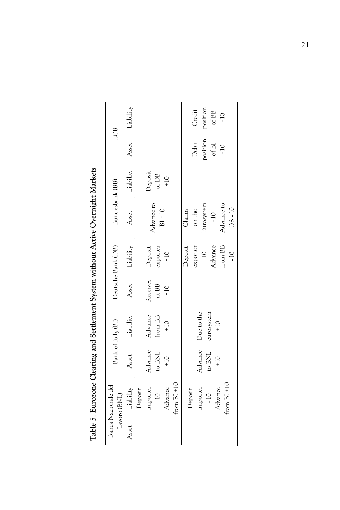|       |                     |          |                    |          |                    | $\leftarrow$ , and $\leftarrow$ , and $\leftarrow$ , and $\leftarrow$ , and $\leftarrow$ , and $\leftarrow$ , and $\leftarrow$ , and $\leftarrow$ , and $\leftarrow$ , and $\leftarrow$ , and $\leftarrow$ , and $\leftarrow$ , and $\leftarrow$ , and $\leftarrow$ , and $\leftarrow$ , and $\leftarrow$ , and $\leftarrow$ , and $\leftarrow$ , and $\leftarrow$ |           |          |           |
|-------|---------------------|----------|--------------------|----------|--------------------|--------------------------------------------------------------------------------------------------------------------------------------------------------------------------------------------------------------------------------------------------------------------------------------------------------------------------------------------------------------------|-----------|----------|-----------|
|       | Banca Nazionale del |          | Bank of Italy (BI) |          | Deutsche Bank (DB) | Bundesbank (BB)                                                                                                                                                                                                                                                                                                                                                    |           | ECB      |           |
|       | Lavoro (BNL)        |          |                    |          |                    |                                                                                                                                                                                                                                                                                                                                                                    |           |          |           |
| Asset | Liability           | Asset    | Liability          | Asset    | Liability          | Asset                                                                                                                                                                                                                                                                                                                                                              | Liability | Asset    | Liability |
|       | Deposit             |          |                    |          |                    |                                                                                                                                                                                                                                                                                                                                                                    |           |          |           |
|       | importer            | Advance  | Advance            | Reserves | Deposit            |                                                                                                                                                                                                                                                                                                                                                                    | Deposit   |          |           |
|       | $-10$               | to $BNL$ | from BB            | at BB    | exporter           | Advance to<br>$BI + 10$                                                                                                                                                                                                                                                                                                                                            | of $DB$   |          |           |
|       | Advance             | $+10$    | $-10$              | $+10$    | $+10$              |                                                                                                                                                                                                                                                                                                                                                                    | $+10$     |          |           |
|       | from $BI + 10$      |          |                    |          |                    |                                                                                                                                                                                                                                                                                                                                                                    |           |          |           |
|       |                     |          |                    |          | Deposit            | Claims                                                                                                                                                                                                                                                                                                                                                             |           |          |           |
|       | Deposit             |          |                    |          | exporter           | on the                                                                                                                                                                                                                                                                                                                                                             |           | Debit    | Credit    |
|       | importer            | Advance  | Due to the         |          | $+10$              | Eurosystem                                                                                                                                                                                                                                                                                                                                                         |           | position | position  |
|       | $-10$               | to BNL   | eurosystem         |          | Advance            | $+10$                                                                                                                                                                                                                                                                                                                                                              |           | of BI    | $of$ BB   |
|       | Advance             | $+10$    | $+10$              |          | from BB            | Advance to                                                                                                                                                                                                                                                                                                                                                         |           | $-10$    | $-10$     |
|       | from $BI + 10$      |          |                    |          | $-10$              | $DB - 10$                                                                                                                                                                                                                                                                                                                                                          |           |          |           |

Table 5. Eurozone Clearing and Settlement System without Active Overnight Markets **Table 5. Eurozone Clearing and Settlement System without Active Overnight Markets**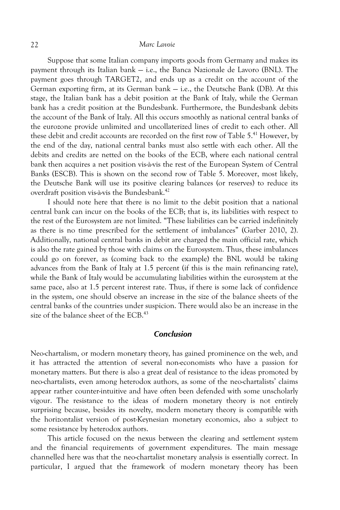Suppose that some Italian company imports goods from Germany and makes its payment through its Italian bank — i.e., the Banca Nazionale de Lavoro (BNL). The payment goes through TARGET2, and ends up as a credit on the account of the German exporting firm, at its German bank — i.e., the Deutsche Bank (DB). At this stage, the Italian bank has a debit position at the Bank of Italy, while the German bank has a credit position at the Bundesbank. Furthermore, the Bundesbank debits the account of the Bank of Italy. All this occurs smoothly as national central banks of the eurozone provide unlimited and uncollaterized lines of credit to each other. All these debit and credit accounts are recorded on the first row of Table  $5.^{41}$  However, by the end of the day, national central banks must also settle with each other. All the debits and credits are netted on the books of the ECB, where each national central bank then acquires a net position vis-à-vis the rest of the European System of Central Banks (ESCB). This is shown on the second row of Table 5. Moreover, most likely, the Deutsche Bank will use its positive clearing balances (or reserves) to reduce its overdraft position vis-à-vis the Bundesbank.<sup>42</sup>

I should note here that there is no limit to the debit position that a national central bank can incur on the books of the ECB; that is, its liabilities with respect to the rest of the Eurosystem are not limited. "These liabilities can be carried indefinitely as there is no time prescribed for the settlement of imbalances" (Garber 2010, 2). Additionally, national central banks in debit are charged the main official rate, which is also the rate gained by those with claims on the Eurosystem. Thus, these imbalances could go on forever, as (coming back to the example) the BNL would be taking advances from the Bank of Italy at 1.5 percent (if this is the main refinancing rate), while the Bank of Italy would be accumulating liabilities within the eurosystem at the same pace, also at 1.5 percent interest rate. Thus, if there is some lack of confidence in the system, one should observe an increase in the size of the balance sheets of the central banks of the countries under suspicion. There would also be an increase in the size of the balance sheet of the ECB.<sup>43</sup>

#### *Conclusion*

Neo-chartalism, or modern monetary theory, has gained prominence on the web, and it has attracted the attention of several non-economists who have a passion for monetary matters. But there is also a great deal of resistance to the ideas promoted by neo-chartalists, even among heterodox authors, as some of the neo-chartalists' claims appear rather counter-intuitive and have often been defended with some unscholarly vigour. The resistance to the ideas of modern monetary theory is not entirely surprising because, besides its novelty, modern monetary theory is compatible with the horizontalist version of post-Keynesian monetary economics, also a subject to some resistance by heterodox authors.

This article focused on the nexus between the clearing and settlement system and the financial requirements of government expenditures. The main message channelled here was that the neo-chartalist monetary analysis is essentially correct. In particular, I argued that the framework of modern monetary theory has been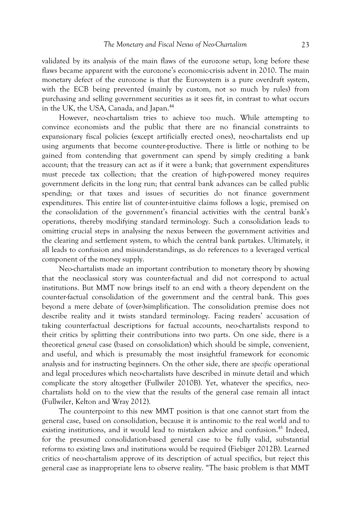validated by its analysis of the main flaws of the eurozone setup, long before these flaws became apparent with the eurozone's economic-crisis advent in 2010. The main monetary defect of the eurozone is that the Eurosystem is a pure overdraft system, with the ECB being prevented (mainly by custom, not so much by rules) from purchasing and selling government securities as it sees fit, in contrast to what occurs in the UK, the USA, Canada, and Japan.<sup>44</sup>

However, neo-chartalism tries to achieve too much. While attempting to convince economists and the public that there are no financial constraints to expansionary fiscal policies (except artificially erected ones), neo-chartalists end up using arguments that become counter-productive. There is little or nothing to be gained from contending that government can spend by simply crediting a bank account; that the treasury can act as if it were a bank; that government expenditures must precede tax collection; that the creation of high-powered money requires government deficits in the long run; that central bank advances can be called public spending; or that taxes and issues of securities do not finance government expenditures. This entire list of counter-intuitive claims follows a logic, premised on the consolidation of the government's financial activities with the central bank's operations, thereby modifying standard terminology. Such a consolidation leads to omitting crucial steps in analysing the nexus between the government activities and the clearing and settlement system, to which the central bank partakes. Ultimately, it all leads to confusion and misunderstandings, as do references to a leveraged vertical component of the money supply.

Neo-chartalists made an important contribution to monetary theory by showing that the neoclassical story was counter-factual and did not correspond to actual institutions. But MMT now brings itself to an end with a theory dependent on the counter-factual consolidation of the government and the central bank. This goes beyond a mere debate of (over-)simplification. The consolidation premise does not describe reality and it twists standard terminology. Facing readers' accusation of taking counterfactual descriptions for factual accounts, neo-chartalists respond to their critics by splitting their contributions into two parts. On one side, there is a theoretical *general* case (based on consolidation) which should be simple, convenient, and useful, and which is presumably the most insightful framework for economic analysis and for instructing beginners. On the other side, there are *specific* operational and legal procedures which neo-chartalists have described in minute detail and which complicate the story altogether (Fullwiler 2010B). Yet, whatever the specifics, neochartalists hold on to the view that the results of the general case remain all intact (Fullwiler, Kelton and Wray 2012).

The counterpoint to this new MMT position is that one cannot start from the general case, based on consolidation, because it is antinomic to the real world and to existing institutions, and it would lead to mistaken advice and confusion.<sup>45</sup> Indeed, for the presumed consolidation-based general case to be fully valid, substantial reforms to existing laws and institutions would be required (Fiebiger 2012B). Learned critics of neo-chartalism approve of its description of actual specifics, but reject this general case as inappropriate lens to observe reality. "The basic problem is that MMT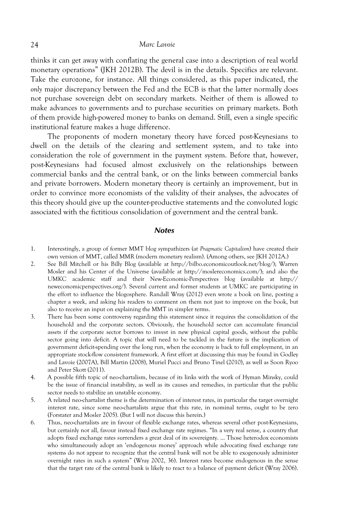thinks it can get away with conflating the general case into a description of real world monetary operations" (JKH 2012B). The devil is in the details. Specifics are relevant. Take the eurozone, for instance. All things considered, as this paper indicated, the *only* major discrepancy between the Fed and the ECB is that the latter normally does not purchase sovereign debt on secondary markets. Neither of them is allowed to make advances to governments and to purchase securities on primary markets. Both of them provide high-powered money to banks on demand. Still, even a single specific institutional feature makes a huge difference.

The proponents of modern monetary theory have forced post-Keynesians to dwell on the details of the clearing and settlement system, and to take into consideration the role of government in the payment system. Before that, however, post-Keynesians had focused almost exclusively on the relationships between commercial banks and the central bank, or on the links between commercial banks and private borrowers. Modern monetary theory is certainly an improvement, but in order to convince more economists of the validity of their analyses, the advocates of this theory should give up the counter-productive statements and the convoluted logic associated with the fictitious consolidation of government and the central bank.

### *Notes*

- 1. Interestingly, a group of former MMT blog sympathizers (at *Pragmatic Capitalism*) have created their own version of MMT, called MMR (modern monetary realism). (Among others, see JKH 2012A.)
- 2. See Bill Mitchell or his Billy Blog (available at http://bilbo.economicoutlook.net/blog/); Warren Mosler and his Center of the Universe (available at http://moslereconomics.com/); and also the UMKC academic staff and their New-Economic-Perspectives blog (available at http:// neweconomicperspectives.org/). Several current and former students at UMKC are participating in the effort to influence the blogosphere. Randall Wray (2012) even wrote a book on line, posting a chapter a week, and asking his readers to comment on them not just to improve on the book, but also to receive an input on explaining the MMT in simpler terms.
- 3. There has been some controversy regarding this statement since it requires the consolidation of the household and the corporate sectors. Obviously, the household sector can accumulate financial assets if the corporate sector borrows to invest in new physical capital goods, without the public sector going into deficit. A topic that will need to be tackled in the future is the implication of government deficit-spending over the long run, when the economy is back to full employment, in an appropriate stock-flow consistent framework. A first effort at discussing this may be found in Godley and Lavoie (2007A), Bill Martin (2008), Muriel Pucci and Bruno Tinel (2010), as well as Soon Ryoo and Peter Skott (2011).
- 4. A possible fifth topic of neo-chartalism, because of its links with the work of Hyman Minsky, could be the issue of financial instability, as well as its causes and remedies, in particular that the public sector needs to stabilize an unstable economy.
- 5. A related neo-chartalist theme is the determination of interest rates, in particular the target overnight interest rate, since some neo-chartalists argue that this rate, in nominal terms, ought to be zero (Forstater and Mosler 2005). (But I will not discuss this herein.)
- 6. Thus, neo-chartalists are in favour of flexible exchange rates, whereas several other post-Keynesians, but certainly not all, favour instead fixed exchange rate regimes. "In a very real sense, a country that adopts fixed exchange rates surrenders a great deal of its sovereignty. … Those heterodox economists who simultaneously adopt an 'endogenous money' approach while advocating fixed exchange rate systems do not appear to recognize that the central bank will not be able to exogenously administer overnight rates in such a system" (Wray 2002, 36). Interest rates become endogenous in the sense that the target rate of the central bank is likely to react to a balance of payment deficit (Wray 2006).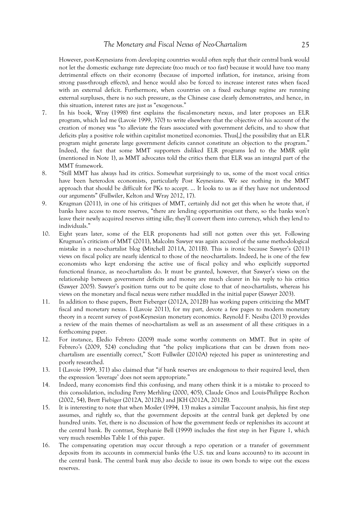However, post-Keynesians from developing countries would often reply that their central bank would not let the domestic exchange rate depreciate (too much or too fast) because it would have too many detrimental effects on their economy (because of imported inflation, for instance, arising from strong pass-through effects), and hence would also be forced to increase interest rates when faced with an external deficit. Furthermore, when countries on a fixed exchange regime are running external surpluses, there is no such pressure, as the Chinese case clearly demonstrates, and hence, in this situation, interest rates are just as "exogenous."

- 7. In his book, Wray (1998) first explains the fiscal-monetary nexus, and later proposes an ELR program, which led me (Lavoie 1999, 370) to write elsewhere that the objective of his account of the creation of money was "to alleviate the fears associated with government deficits, and to show that deficits play a positive role within capitalist monetized economies. Thus[,] the possibility that an ELR program might generate large government deficits cannot constitute an objection to the program." Indeed, the fact that some MMT supporters disliked ELR programs led to the MMR split (mentioned in Note 1), as MMT advocates told the critics them that ELR was an integral part of the MMT framework.
- 8. "Still MMT has always had its critics. Somewhat surprisingly to us, some of the most vocal critics have been heterodox economists, particularly Post Keynesians. We see nothing in the MMT approach that should be difficult for PKs to accept. … It looks to us as if they have not understood our arguments" (Fullwiler, Kelton and Wray 2012, 17).
- 9. Krugman (2011), in one of his critiques of MMT, certainly did not get this when he wrote that, if banks have access to more reserves, "there are lending opportunities out there, so the banks won't leave their newly acquired reserves sitting idle; they'll convert them into currency, which they lend to individuals."
- 10. Eight years later, some of the ELR proponents had still not gotten over this yet. Following Krugman's criticism of MMT (2011), Malcolm Sawyer was again accused of the same methodological mistake in a neo-chartalist blog (Mitchell 2011A, 2011B). This is ironic because Sawyer's (2011) views on fiscal policy are nearly identical to those of the neo-chartalists. Indeed, he is one of the few economists who kept endorsing the active use of fiscal policy and who explicitly supported functional finance, as neo-chartalists do. It must be granted, however, that Sawyer's views on the relationship between government deficits and money are much clearer in his reply to his critics (Sawyer 2005). Sawyer's position turns out to be quite close to that of neo-chartalists, whereas his views on the monetary and fiscal nexus were rather muddled in the initial paper (Sawyer 2003).
- 11. In addition to these papers, Brett Fieberger (2012A, 2012B) has working papers criticizing the MMT fiscal and monetary nexus. I (Lavoie 2011), for my part, devote a few pages to modern monetary theory in a recent survey of post-Keynesian monetary economics. Reynold F. Nesiba (2013) provides a review of the main themes of neo-chartalism as well as an assessment of all these critiques in a forthcoming paper.
- 12. For instance, Eledio Febrero (2009) made some worthy comments on MMT. But in spite of Febrero's (2009, 524) concluding that "the policy implications that can be drawn from neochartalism are essentially correct," Scott Fullwiler (2010A) rejected his paper as uninteresting and poorly researched.
- 13. I (Lavoie 1999, 371) also claimed that "if bank reserves are endogenous to their required level, then the expression 'leverage' does not seem appropriate."
- 14. Indeed, many economists find this confusing, and many others think it is a mistake to proceed to this consolidation, including Perry Merhling (2000, 405), Claude Gnos and Louis-Philippe Rochon (2002, 54), Brett Fiebiger (2012A, 2012B,) and JKH (2012A, 2012B).
- 15. It is interesting to note that when Mosler (1994, 13) makes a similar T-account analysis, his first step assumes, and rightly so, that the government deposits at the central bank get depleted by one hundred units. Yet, there is no discussion of how the government feeds or replenishes its account at the central bank. By contrast, Stephanie Bell (1999) includes the first step in her Figure 1, which very much resembles Table 1 of this paper.
- 16. The compensating operation may occur through a repo operation or a transfer of government deposits from its accounts in commercial banks (the U.S. tax and loans accounts) to its account in the central bank. The central bank may also decide to issue its own bonds to wipe out the excess reserves.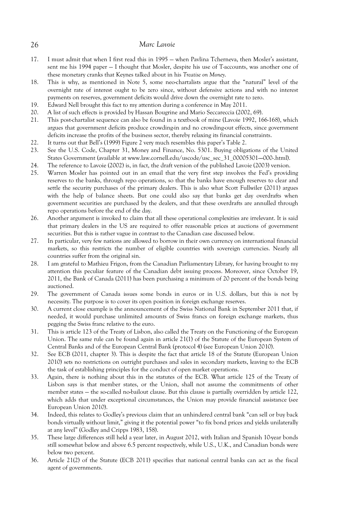- 17. I must admit that when I first read this in 1995 when Pavlina Tcherneva, then Mosler's assistant, sent me his 1994 paper — I thought that Mosler, despite his use of T-accounts, was another one of these monetary cranks that Keynes talked about in his *Treatise on Money*.
- 18. This is why, as mentioned in Note 5, some neo-chartalists argue that the "natural" level of the overnight rate of interest ought to be zero since, without defensive actions and with no interest payments on reserves, government deficits would drive down the overnight rate to zero.
- 19. Edward Nell brought this fact to my attention during a conference in May 2011.
- 20. A list of such effects is provided by Hassan Bougrine and Mario Seccareccia (2002, 69).
- 21. This post-chartalist sequence can also be found in a textbook of mine (Lavoie 1992, 166-168), which argues that government deficits produce crowding-in and no crowding-out effects, since government deficits increase the profits of the business sector, thereby relaxing its financial constraints.
- 22. It turns out that Bell's (1999) Figure 2 very much resembles this paper's Table 2.
- 23. See the U.S. Code, Chapter 31, Money and Finance, No. 5301. Buying obligations of the United States Government (available at www.law.cornell.edu/uscode/usc\_sec\_31\_00005301---000-.html).
- 24. The reference to Lavoie (2002) is, in fact, the draft version of the published Lavoie (2003) version.
- 25. Warren Mosler has pointed out in an email that the very first step involves the Fed's providing reserves to the banks, through repo operations, so that the banks have enough reserves to clear and settle the security purchases of the primary dealers. This is also what Scott Fullwiler (2011) argues with the help of balance sheets. But one could also say that banks get day overdrafts when government securities are purchased by the dealers, and that these overdrafts are annulled through repo operations before the end of the day.
- 26. Another argument is invoked to claim that all these operational complexities are irrelevant. It is said that primary dealers in the US are required to offer reasonable prices at auctions of government securities. But this is rather vague in contrast to the Canadian case discussed below.
- 27. In particular, very few nations are allowed to borrow in their own currency on international financial markets, so this restricts the number of eligible countries with sovereign currencies. Nearly all countries suffer from the original sin.
- 28. I am grateful to Mathieu Frigon, from the Canadian Parliamentary Library, for having brought to my attention this peculiar feature of the Canadian debt issuing process. Moreover, since October 19, 2011, the Bank of Canada (2011) has been purchasing a minimum of 20 percent of the bonds being auctioned.
- 29. The government of Canada issues some bonds in euros or in U.S. dollars, but this is not by necessity. The purpose is to cover its open position in foreign exchange reserves.
- 30. A current close example is the announcement of the Swiss National Bank in September 2011 that, if needed, it would purchase unlimited amounts of Swiss francs on foreign exchange markets, thus pegging the Swiss franc relative to the euro.
- 31. This is article 123 of the Treaty of Lisbon, also called the Treaty on the Functioning of the European Union. The same rule can be found again in article 21(1) of the Statute of the European System of Central Banks and of the European Central Bank (protocol 4) (see European Union 2010).
- 32. See ECB (2011, chapter 3). This is despite the fact that article 18 of the Statute (European Union 2010) sets no restrictions on outright purchases and sales in secondary markets, leaving to the ECB the task of establishing principles for the conduct of open market operations.
- 33. Again, there is nothing about this in the statutes of the ECB. What article 125 of the Treaty of Lisbon says is that member states, or the Union, shall not assume the commitments of other member states — the so-called no-bailout clause. But this clause is partially overridden by article 122, which adds that under exceptional circumstances, the Union may provide financial assistance (see European Union 2010).
- 34. Indeed, this relates to Godley's previous claim that an unhindered central bank "can sell or buy back bonds virtually without limit," giving it the potential power "to fix bond prices and yields unilaterally at any level" (Godley and Cripps 1983, 158).
- 35. These large differences still held a year later, in August 2012, with Italian and Spanish 10-year bonds still somewhat below and above 6.5 percent respectively, while U.S., U.K., and Canadian bonds were below two percent.
- 36. Article 21(2) of the Statute (ECB 2011) specifies that national central banks can act as the fiscal agent of governments.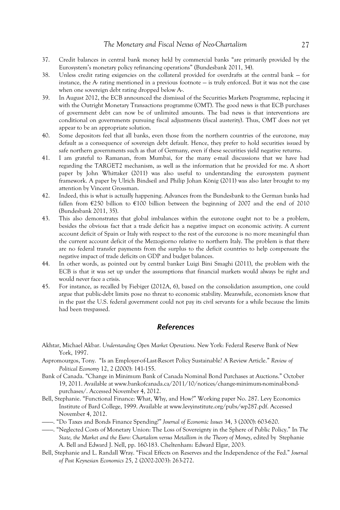- 37. Credit balances in central bank money held by commercial banks "are primarily provided by the Eurosystem's monetary policy refinancing operations" (Bundesbank 2011, 34).
- 38. Unless credit rating exigencies on the collateral provided for overdrafts at the central bank for instance, the A- rating mentioned in a previous footnote — is truly enforced. But it was not the case when one sovereign debt rating dropped below A-.
- 39. In August 2012, the ECB announced the dismissal of the Securities Markets Programme, replacing it with the Outright Monetary Transactions programme (OMT). The good news is that ECB purchases of government debt can now be of unlimited amounts. The bad news is that interventions are conditional on governments pursuing fiscal adjustments (fiscal austerity). Thus, OMT does not yet appear to be an appropriate solution.
- 40. Some depositors feel that all banks, even those from the northern countries of the eurozone, may default as a consequence of sovereign debt default. Hence, they prefer to hold securities issued by safe northern governments such as that of Germany, even if these securities yield negative returns.
- 41. I am grateful to Ramanan, from Mumbai, for the many e-mail discussions that we have had regarding the TARGET2 mechanism, as well as the information that he provided for me. A short paper by John Whittaker (2011) was also useful to understanding the eurosystem payment framework. A paper by Ulrich Bindseil and Philip Johan König (2011) was also later brought to my attention by Vincent Grossman.
- 42. Indeed, this is what is actually happening. Advances from the Bundesbank to the German banks had fallen from  $\epsilon$ 250 billion to  $\epsilon$ 100 billion between the beginning of 2007 and the end of 2010 (Bundesbank 2011, 35).
- negative impact of trade deficits on GDP and budget balances. 43. This also demonstrates that global imbalances within the eurozone ought not to be a problem, besides the obvious fact that a trade deficit has a negative impact on economic activity. A current account deficit of Spain or Italy with respect to the rest of the eurozone is no more meaningful than the current account deficit of the Mezzogiorno relative to northern Italy. The problem is that there are no federal transfer payments from the surplus to the deficit countries to help compensate the
- 44. In other words, as pointed out by central banker Luigi Bini Smaghi (2011), the problem with the ECB is that it was set up under the assumptions that financial markets would always be right and would never face a crisis.
- 45. For instance, as recalled by Fiebiger (2012A, 6), based on the consolidation assumption, one could argue that public-debt limits pose no threat to economic stability. Meanwhile, economists know that in the past the U.S. federal government could not pay its civil servants for a while because the limits had been trespassed.

### *References*

- Akhtar, Michael Akbar. *Understanding Open Market Operations*. New York: Federal Reserve Bank of New York, 1997.
- Aspromourgos, Tony. "Is an Employer-of-Last-Resort Policy Sustainable? A Review Article." *Review of Political Economy* 12, 2 (2000): 141-155.
- Bank of Canada. "Change in Minimum Bank of Canada Nominal Bond Purchases at Auctions." October 19, 2011. Available at www.bankofcanada.ca/2011/10/notices/change-minimum-nominal-bondpurchases/. Accessed November 4, 2012.
- Bell, Stephanie. "Functional Finance: What, Why, and How?" Working paper No. 287. Levy Economics Institute of Bard College, 1999. Available at www.levyinstitute.org/pubs/wp287.pdf. Accessed November 4, 2012.
- ———. "Do Taxes and Bonds Finance Spending?" *Journal of Economic Issues* 34, 3 (2000): 603-620.
- ———. "Neglected Costs of Monetary Union: The Loss of Sovereignty in the Sphere of Public Policy." In *The State, the Market and the Euro: Chartalism versus Metallism in the Theory of Money*, edited by Stephanie A. Bell and Edward J. Nell, pp. 160-183. Cheltenham: Edward Elgar, 2003.
- Bell, Stephanie and L. Randall Wray. "Fiscal Effects on Reserves and the Independence of the Fed." *Journal of Post Keynesian Economics* 25, 2 (2002-2003): 263-272.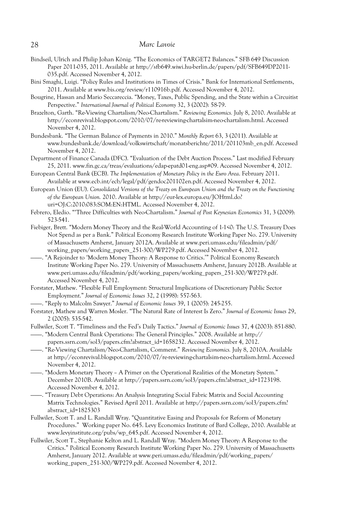- Bindseil, Ulrich and Philip Johan König. "The Economics of TARGET2 Balances." SFB 649 Discussion Paper 2011-035, 2011. Available at http://sfb649.wiwi.hu-berlin.de/papers/pdf/SFB649DP2011- 035.pdf. Accessed November 4, 2012.
- Bini Smaghi, Luigi. "Policy Rules and Institutions in Times of Crisis." Bank for International Settlements, 2011. Available at www.bis.org/review/r110916b.pdf. Accessed November 4, 2012.
- Bougrine, Hassan and Mario Seccareccia. "Money, Taxes, Public Spending, and the State within a Circuitist Perspective." *International Journal of Political Economy* 32, 3 (2002): 58-79.
- Brazelton, Garth. "Re-Viewing Chartalism/Neo-Chartalism." *Reviewing Economics.* July 8, 2010. Available at http://econrevival.blogspot.com/2010/07/re-reviewing-chartalsim-neo-chartalism.html. Accessed November 4, 2012.
- Bundesbank. "The German Balance of Payments in 2010." *Monthly Report* 63, 3 (2011). Available at www.bundesbank.de/download/volkswirtschaft/monatsberichte/2011/201103mb\_en.pdf. Accessed November 4, 2012.
- Department of Finance Canada (DFC). "Evaluation of the Debt Auction Process." Last modified February 25, 2011. www.fin.gc.ca/treas/evaluations/edap-epatd01-eng.asp#09. Accessed November 4, 2012.
- European Central Bank (ECB). *The Implementation of Monetary Policy in the Euro Area*. February 2011. Available at www.ecb.int/ecb/legal/pdf/gendoc201102en.pdf. Accessed November 4, 2012.
- European Union (EU). *Consolidated Versions of the Treaty on European Union and the Treaty on the Functioning of the European Union.* 2010. Available at http://eur-lex.europa.eu/JOHtml.do? uri=OJ:C:2010:083:SOM:EN:HTML. Accessed November 4, 2012.
- Febrero, Eledio. "'Three Difficulties with Neo-Chartalism." *Journal of Post Keynesian Economics* 31, 3 (2009): 523-541.
- Fiebiger, Brett. "Modern Money Theory and the Real-World Accounting of 1-1<0: The U.S. Treasury Does Not Spend as per a Bank." Political Economy Research Institute Working Paper No. 279. University of Massachusetts Amherst, January 2012A. Available at www.peri.umass.edu/fileadmin/pdf/ working\_papers/working\_papers\_251-300/WP279.pdf. Accessed November 4, 2012.
- ———. "A Rejoinder to 'Modern Money Theory: A Response to Critics.'" Political Economy Research Institute Working Paper No. 279. University of Massachusetts Amherst, January 2012B. Available at www.peri.umass.edu/fileadmin/pdf/working\_papers/working\_papers\_251-300/WP279.pdf. Accessed November 4, 2012.
- Forstater, Mathew. "Flexible Full Employment: Structural Implications of Discretionary Public Sector Employment." *Journal of Economic Issues* 32, 2 (1998): 557-563.
- ———. "Reply to Malcolm Sawyer." *Journal of Economic Issues* 39, 1 (2005): 245-255.
- Forstater, Mathew and Warren Mosler. "The Natural Rate of Interest Is Zero." *Journal of Economic Issues* 29, 2 (2005): 535-542.
- Fullwiler, Scott T. "Timeliness and the Fed's Daily Tactics." *Journal of Economic Issues* 37, 4 (2003): 851-880.
- ———. "Modern Central Bank Operations: The General Principles." 2008. Available at http:// papers.ssrn.com/sol3/papers.cfm?abstract\_id=1658232. Accessed November 4, 2012.
- ———. "Re-Viewing Chartalism/Neo-Chartalism, Comment." *Reviewing Economics.* July 8, 2010A. Available at http://econrevival.blogspot.com/2010/07/re-reviewing-chartalsim-neo-chartalism.html. Accessed November 4, 2012.
- ———. "Modern Monetary Theory A Primer on the Operational Realities of the Monetary System." December 2010B. Available at http://papers.ssrn.com/sol3/papers.cfm?abstract\_id=1723198. Accessed November 4, 2012.
- ———. "Treasury Debt Operations: An Analysis Integrating Social Fabric Matrix and Social Accounting Matrix Technologies." Revised April 2011. Available at http://papers.ssrn.com/sol3/papers.cfm? abstract\_id=1825303
- Fullwiler, Scott T. and L. Randall Wray. "Quantitative Easing and Proposals for Reform of Monetary Procedures." Working paper No. 645. Levy Economics Institute of Bard College, 2010. Available at www.levyinstitute.org/pubs/wp\_645.pdf. Accessed November 4, 2012.
- Fullwiler, Scott T., Stephanie Kelton and L. Randall Wray. "Modern Money Theory: A Response to the Critics." Political Economy Research Institute Working Paper No. 279. University of Massachusetts Amherst, January 2012. Available at www.peri.umass.edu/fileadmin/pdf/working\_papers/ working\_papers\_251-300/WP279.pdf. Accessed November 4, 2012.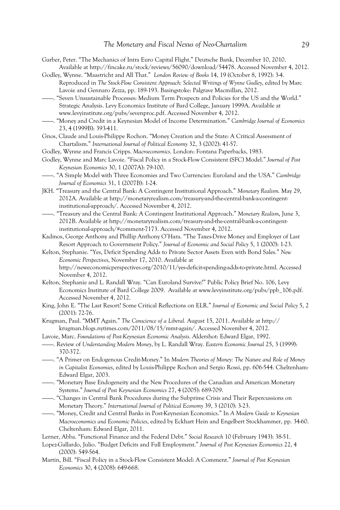- Garber, Peter. "The Mechanics of Intra Euro Capital Flight." Deutsche Bank, December 10, 2010. Available at http://fincake.ru/stock/reviews/56090/download/54478. Accessed November 4, 2012.
- Godley, Wynne. "Maastricht and All That." *London Review of Books* 14, 19 (October 8, 1992): 3-4. Reproduced in *The Stock-Flow Consistent Approach: Selected Writings of Wynne Godley*, edited by Marc Lavoie and Gennaro Zezza, pp. 189-193. Basingstoke: Palgrave Macmillan, 2012.
- ———. "Seven Unsustainable Processes: Medium Term Prospects and Policies for the US and the World." Strategic Analysis. Levy Economics Institute of Bard College, January 1999A. Available at www.levyinstitute.org/pubs/sevenproc.pdf. Accessed November 4, 2012.
- ———. "Money and Credit in a Keynesian Model of Income Determination." *Cambridge Journal of Economics* 23, 4 (1999B): 393-411.
- Gnos, Claude and Louis-Philippe Rochon. "Money Creation and the State: A Critical Assessment of Chartalism." *International Journal of Political Economy* 32, 3 (2002): 41-57.
- Godley, Wynne and Francis Cripps. *Macroeconomics*. London: Fontana Paperbacks, 1983.
- Godley, Wynne and Marc Lavoie. "Fiscal Policy in a Stock-Flow Consistent (SFC) Model." *Journal of Post Keynesian Economics* 30, 1 (2007A): 79-100.
- ———. "A Simple Model with Three Economies and Two Currencies: Euroland and the USA." *Cambridge Journal of Economics* 31, 1 (2007B): 1-24.
- JKH. "Treasury and the Central Bank: A Contingent Institutional Approach." *Monetary Realism.* May 29, 2012A. Available at http://monetaryrealism.com/treasury-and-the-central-bank-a-contingentinstitutional-approach/. Accessed November 4, 2012.
- ———. "Treasury and the Central Bank: A Contingent Institutional Approach." *Monetary Realism*, June 3, 2012B. Available at http://monetaryrealism.com/treasury-and-the-central-bank-a-contingentinstitutional-approach/#comment-7173. Accessed November 4, 2012.
- Kadmos, George Anthony and Phillip Anthony O'Hara. "The Taxes-Drive Money and Employer of Last Resort Approach to Government Policy." *Journal of Economic and Social Policy* 5, 1 (2000): 1-23.
- Kelton, Stephanie. "Yes, Deficit Spending Adds to Private Sector Assets Even with Bond Sales." *New Economic Perspectives*, November 17, 2010. Available at http://neweconomicperspectives.org/2010/11/yes-deficit-spending-adds-to-private.html. Accessed November 4, 2012.
- Kelton, Stephanie and L. Randall Wray. "Can Euroland Survive?" Public Policy Brief No. 106, Levy Economics Institute of Bard College 2009. Available at www.levyinstitute.org/pubs/ppb\_106.pdf. Accessed November 4, 2012.
- King, John E. "The Last Resort? Some Critical Reflections on ELR." *Journal of Economic and Social Policy* 5, 2 (2001): 72-76.
- Krugman, Paul. "MMT Again." *The Conscience of a Liberal.* August 15, 2011. Available at http:// krugman.blogs.nytimes.com/2011/08/15/mmt-again/. Accessed November 4, 2012.
- Lavoie, Marc. *Foundations of Post-Keynesian Economic Analysis*. Aldershot: Edward Elgar, 1992.
- ———. Review of *Understanding Modern Money*, by L. Randall Wray. *Eastern Economic Journal* 25, 3 (1999): 370-372.
- ———. "A Primer on Endogenous Credit-Money." In *Modern Theories of Money: The Nature and Role of Money in Capitalist Economies*, edited by Louis-Philippe Rochon and Sergio Rossi, pp. 606-544. Cheltenham: Edward Elgar, 2003.
- ———. "Monetary Base Endogeneity and the New Procedures of the Canadian and American Monetary Systems." *Journal of Post Keynesian Economics* 27, 4 (2005): 689-709.
- ———. "Changes in Central Bank Procedures during the Subprime Crisis and Their Repercussions on Monetary Theory." *International Journal of Political Economy* 39, 3 (2010): 3-23.
- ———. "Money, Credit and Central Banks in Post-Keynesian Economics." In *A Modern Guide to Keynesian Macroeconomics and Economic Policies*, edited by Eckhart Hein and Engelbert Stockhammer, pp. 34-60. Cheltenham: Edward Elgar, 2011.
- Lerner, Abba. "Functional Finance and the Federal Debt." *Social Research* 10 (February 1943): 38-51.
- Lopez-Gallardo, Julio. "Budget Deficits and Full Employment." *Journal of Post Keynesian Economics* 22, 4 (2000): 549-564.
- Martin, Bill. "Fiscal Policy in a Stock-Flow Consistent Model: A Comment." *Journal of Post Keynesian Economics* 30, 4 (2008): 649-668.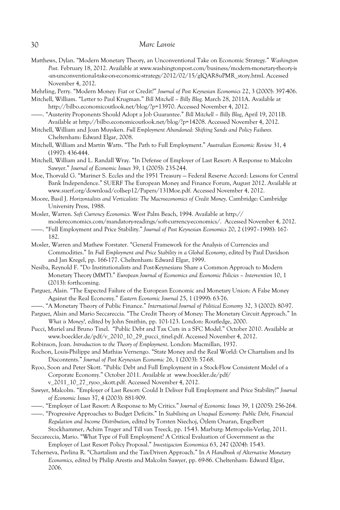Matthews, Dylan. "Modern Monetary Theory, an Unconventional Take on Economic Strategy." *Washington Post.* February 18, 2012. Available at www.washingtonpost.com/business/modern-monetary-theory-is -an-unconventional-take-on-economic-strategy/2012/02/15/gIQAR8uPMR\_story.html. Accessed November 4, 2012.

Mehrling, Perry. "Modern Money: Fiat or Credit?" *Journal of Post Keynesian Economics* 22, 3 (2000): 397-406.

- Mitchell, William. "Letter to Paul Krugman." *Bill Mitchell Billy Blog.* March 28, 2011A. Available at http://bilbo.economicoutlook.net/blog/?p=13970. Accessed November 4, 2012.
- ———. "Austerity Proponents Should Adopt a Job Guarantee." *Bill Mitchell Billy Blog*, April 19, 2011B. Available at http://bilbo.economicoutlook.net/blog/?p=14208. Accessed November 4, 2012.
- Mitchell, William and Joan Muysken. *Full Employment Abandoned: Shifting Sands and Policy Failures.* Cheltenham: Edward Elgar, 2008.
- Mitchell, William and Martin Watts. "The Path to Full Employment." *Australian Economic Review* 31, 4 (1997): 436-444.
- Mitchell, William and L. Randall Wray. "In Defense of Employer of Last Resort: A Response to Malcolm Sawyer." *Journal of Economic Issues* 39, 1 (2005): 235-244.
- Moe, Thorvald G. "Mariner S. Eccles and the 1951 Treasury Federal Reserve Accord: Lessons for Central Bank Independence." SUERF The European Money and Finance Forum, August 2012. Available at www.suerf.org/download/collsep12/Papers/131Moe.pdf. Accessed November 4, 2012.
- Moore, Basil J. *Horizontalists and Verticalists: The Macroeconomics of Credit Money*. Cambridge: Cambridge University Press, 1988.
- Mosler, Warren. *Soft Currency Economics.* West Palm Beach, 1994. Available at http:// moslereconomics.com/mandatory-readings/soft-currency-economics/. Accessed November 4, 2012. ———. "Full Employment and Price Stability." *Journal of Post Keynesian Economics* 20, 2 (1997–1998): 167-
- 182.
- Mosler, Warren and Mathew Forstater. "General Framework for the Analysis of Currencies and Commodities." In *Full Employment and Price Stability in a Global Economy*, edited by Paul Davidson and Jan Kregel, pp. 166-177. Cheltenham: Edward Elgar, 1999.
- Nesiba, Reynold F. "Do Institutionalists and Post-Keynesians Share a Common Approach to Modern Monetary Theory (MMT)." *European Journal of Economics and Economic Policies – Intervention* 10, 1 (2013): forthcoming.
- Parguez, Alain. "The Expected Failure of the European Economic and Monetary Union: A False Money Against the Real Economy." *Eastern Economic Journal* 25, 1 (1999): 63-76.
- ———. "A Monetary Theory of Public Finance." *International Journal of Political Economy* 32, 3 (2002): 80-97.
- Parguez, Alain and Mario Seccareccia. "The Credit Theory of Money: The Monetary Circuit Approach." In *What is Money?,* edited by John Smithin, pp. 101-123. London: Routledge, 2000.
- Pucci, Muriel and Bruno Tinel. "Public Debt and Tax Cuts in a SFC Model." October 2010. Available at www.boeckler.de/pdf/v\_2010\_10\_29\_pucci\_tinel.pdf. Accessed November 4, 2012.
- Robinson, Joan. *Introduction to the Theory of Employment*. London: Macmillan, 1937.
- Rochon, Louis-Philippe and Mathias Vernengo. "State Money and the Real World: Or Chartalism and Its Discontents." *Journal of Post Keynesian Economic* 26, 1 (2003): 57-68.
- Ryoo, Soon and Peter Skott. "Public Debt and Full Employment in a Stock-Flow Consistent Model of a Corporate Economy." October 2011. Available at www.boeckler.de/pdf/ v\_2011\_10\_27\_ryoo\_skott.pdf. Accessed November 4, 2012.
- Sawyer, Malcolm. "Employer of Last Resort: Could It Deliver Full Employment and Price Stability?" *Journal of Economic Issues* 37, 4 (2003): 881-909.
- ———. "Employer of Last Resort: A Response to My Critics." *Journal of Economic Issues* 39, 1 (2005): 256-264.
- ———. "Progressive Approaches to Budget Deficits." In *Stabilising an Unequal Economy: Public Debt, Financial Regulation and Income Distribution*, edited by Torsten Niechoj, Özlem Onaran, Engelbert Stockhammer, Achim Truger and Till van Treeck, pp. 15-43. Marburg: Metropolis-Verlag, 2011.
- Seccareccia, Mario. "What Type of Full Employment? A Critical Evaluation of Government as the Employer of Last Resort Policy Proposal." *Investigacion Economica* 63, 247 (2004): 15-43.
- Tcherneva, Pavlina R. "Chartalism and the Tax-Driven Approach." In *A Handbook of Alternative Monetary Economics*, edited by Philip Arestis and Malcolm Sawyer, pp. 69-86. Cheltenham: Edward Elgar, 2006.